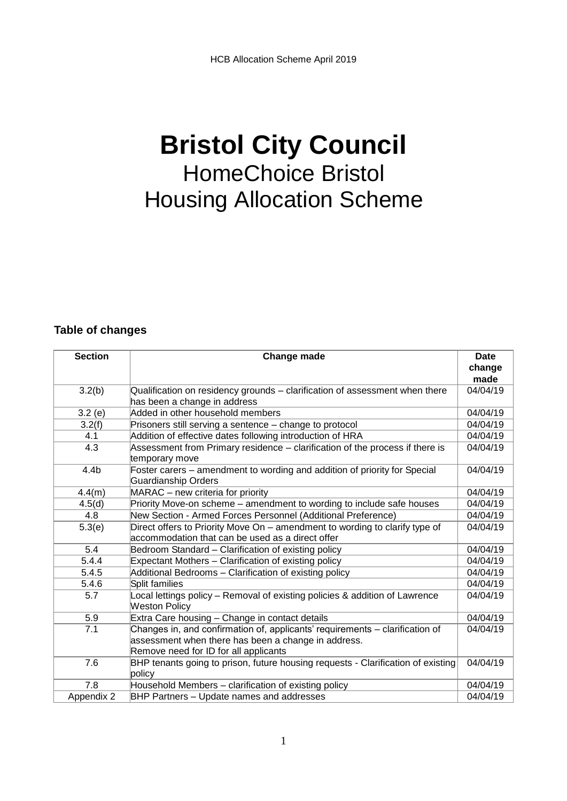# **Bristol City Council**  HomeChoice Bristol Housing Allocation Scheme

#### **Table of changes**

| <b>Section</b>   | Change made                                                                                                                                                                  | <b>Date</b><br>change<br>made |
|------------------|------------------------------------------------------------------------------------------------------------------------------------------------------------------------------|-------------------------------|
| 3.2(b)           | Qualification on residency grounds - clarification of assessment when there<br>has been a change in address                                                                  | 04/04/19                      |
| 3.2(e)           | Added in other household members                                                                                                                                             | 04/04/19                      |
| 3.2(f)           | Prisoners still serving a sentence - change to protocol                                                                                                                      | 04/04/19                      |
| 4.1              | Addition of effective dates following introduction of HRA                                                                                                                    | 04/04/19                      |
| 4.3              | Assessment from Primary residence - clarification of the process if there is<br>temporary move                                                                               | 04/04/19                      |
| 4.4 <sub>b</sub> | Foster carers - amendment to wording and addition of priority for Special<br><b>Guardianship Orders</b>                                                                      | 04/04/19                      |
| 4.4(m)           | MARAC - new criteria for priority                                                                                                                                            | 04/04/19                      |
| 4.5(d)           | Priority Move-on scheme - amendment to wording to include safe houses                                                                                                        | 04/04/19                      |
| 4.8              | New Section - Armed Forces Personnel (Additional Preference)                                                                                                                 | 04/04/19                      |
| 5.3(e)           | Direct offers to Priority Move On - amendment to wording to clarify type of<br>accommodation that can be used as a direct offer                                              | 04/04/19                      |
| 5.4              | Bedroom Standard - Clarification of existing policy                                                                                                                          | 04/04/19                      |
| 5.4.4            | Expectant Mothers - Clarification of existing policy                                                                                                                         | 04/04/19                      |
| 5.4.5            | Additional Bedrooms - Clarification of existing policy                                                                                                                       | 04/04/19                      |
| 5.4.6            | Split families                                                                                                                                                               | 04/04/19                      |
| 5.7              | Local lettings policy - Removal of existing policies & addition of Lawrence<br><b>Weston Policy</b>                                                                          | 04/04/19                      |
| 5.9              | Extra Care housing - Change in contact details                                                                                                                               | 04/04/19                      |
| 7.1              | Changes in, and confirmation of, applicants' requirements - clarification of<br>assessment when there has been a change in address.<br>Remove need for ID for all applicants | 04/04/19                      |
| 7.6              | BHP tenants going to prison, future housing requests - Clarification of existing<br>policy                                                                                   | 04/04/19                      |
| 7.8              | Household Members - clarification of existing policy                                                                                                                         | 04/04/19                      |
| Appendix 2       | BHP Partners - Update names and addresses                                                                                                                                    | 04/04/19                      |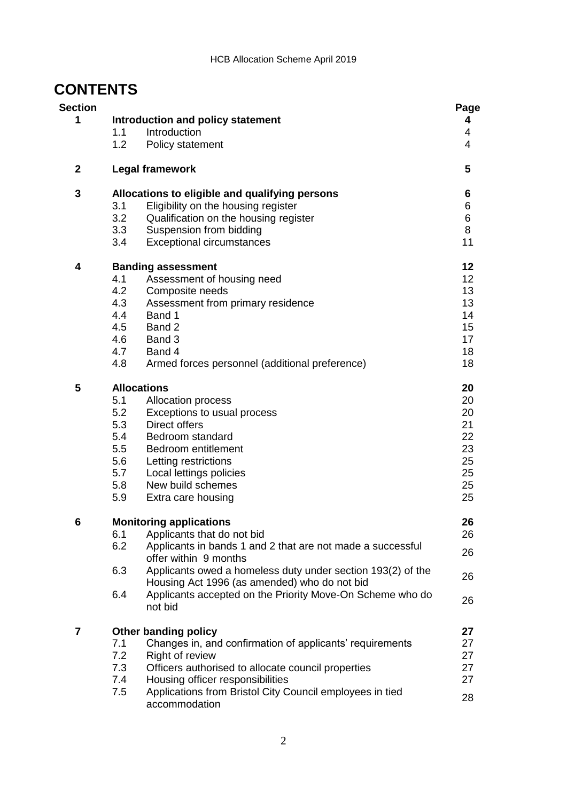# **CONTENTS**

| <b>Section</b><br>1 |            | Introduction and policy statement                                                                           | Page<br>4             |
|---------------------|------------|-------------------------------------------------------------------------------------------------------------|-----------------------|
|                     | 1.1<br>1.2 | Introduction<br>Policy statement                                                                            | 4<br>$\overline{4}$   |
| $\mathbf{2}$        |            | <b>Legal framework</b>                                                                                      | 5                     |
| 3                   |            | Allocations to eligible and qualifying persons                                                              | 6                     |
|                     | 3.1        | Eligibility on the housing register                                                                         | 6                     |
|                     | 3.2        | Qualification on the housing register                                                                       | 6                     |
|                     | 3.3<br>3.4 | Suspension from bidding<br><b>Exceptional circumstances</b>                                                 | 8<br>11               |
| 4                   |            |                                                                                                             |                       |
|                     | 4.1        | <b>Banding assessment</b><br>Assessment of housing need                                                     | 12<br>12 <sub>2</sub> |
|                     | 4.2        | Composite needs                                                                                             | 13                    |
|                     | 4.3        | Assessment from primary residence                                                                           | 13                    |
|                     | 4.4        | Band 1                                                                                                      | 14                    |
|                     | 4.5        | Band 2                                                                                                      | 15                    |
|                     | 4.6        | Band 3                                                                                                      | 17                    |
|                     | 4.7        | Band 4                                                                                                      | 18                    |
|                     | 4.8        | Armed forces personnel (additional preference)                                                              | 18                    |
| 5                   |            | <b>Allocations</b>                                                                                          | 20                    |
|                     | 5.1        | <b>Allocation process</b>                                                                                   | 20                    |
|                     | 5.2        | Exceptions to usual process                                                                                 | 20                    |
|                     | 5.3        | <b>Direct offers</b>                                                                                        | 21                    |
|                     | 5.4        | Bedroom standard                                                                                            | 22                    |
|                     | 5.5        | Bedroom entitlement                                                                                         | 23                    |
|                     | 5.6        | Letting restrictions                                                                                        | 25                    |
|                     | 5.7        | Local lettings policies                                                                                     | 25                    |
|                     | 5.8        | New build schemes                                                                                           | 25                    |
|                     | 5.9        | Extra care housing                                                                                          | 25                    |
| 6                   |            | <b>Monitoring applications</b>                                                                              | 26                    |
|                     | 6.1        | Applicants that do not bid                                                                                  | 26                    |
|                     | 6.2        | Applicants in bands 1 and 2 that are not made a successful                                                  | 26                    |
|                     |            | offer within 9 months                                                                                       |                       |
|                     | 6.3        | Applicants owed a homeless duty under section 193(2) of the<br>Housing Act 1996 (as amended) who do not bid | 26                    |
|                     | 6.4        | Applicants accepted on the Priority Move-On Scheme who do                                                   | 26                    |
|                     |            | not bid                                                                                                     |                       |
| 7                   |            | <b>Other banding policy</b>                                                                                 | 27                    |
|                     | 7.1        | Changes in, and confirmation of applicants' requirements                                                    | 27                    |
|                     | 7.2        | Right of review                                                                                             | 27                    |
|                     | 7.3        | Officers authorised to allocate council properties                                                          | 27                    |
|                     | 7.4        | Housing officer responsibilities                                                                            | 27                    |
|                     | 7.5        | Applications from Bristol City Council employees in tied<br>accommodation                                   | 28                    |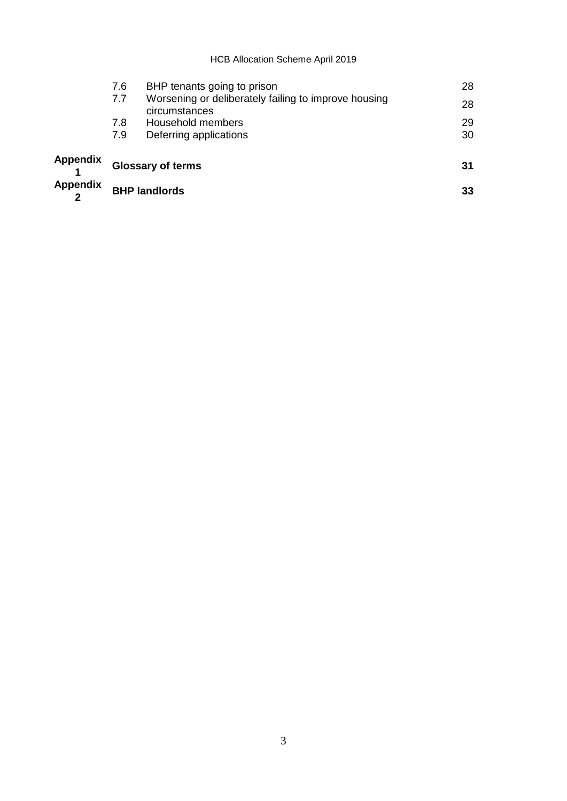#### HCB Allocation Scheme April 2019

| 31<br>33 |
|----------|
|          |
| 28<br>28 |
|          |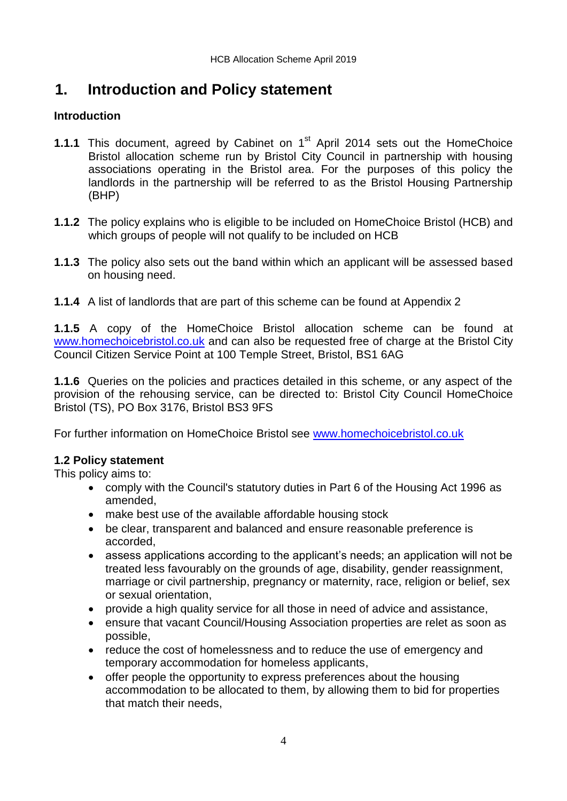# **1. Introduction and Policy statement**

### **Introduction**

- **1.1.1** This document, agreed by Cabinet on 1<sup>st</sup> April 2014 sets out the HomeChoice Bristol allocation scheme run by Bristol City Council in partnership with housing associations operating in the Bristol area. For the purposes of this policy the landlords in the partnership will be referred to as the Bristol Housing Partnership (BHP)
- **1.1.2** The policy explains who is eligible to be included on HomeChoice Bristol (HCB) and which groups of people will not qualify to be included on HCB
- **1.1.3** The policy also sets out the band within which an applicant will be assessed based on housing need.
- **1.1.4** A list of landlords that are part of this scheme can be found at Appendix 2

**1.1.5** A copy of the HomeChoice Bristol allocation scheme can be found at [www.homechoicebristol.co.uk](http://www.homechoicebristol.co.uk/) and can also be requested free of charge at the Bristol City Council Citizen Service Point at 100 Temple Street, Bristol, BS1 6AG

**1.1.6** Queries on the policies and practices detailed in this scheme, or any aspect of the provision of the rehousing service, can be directed to: Bristol City Council HomeChoice Bristol (TS), PO Box 3176, Bristol BS3 9FS

For further information on HomeChoice Bristol see [www.homechoicebristol.co.uk](http://www.homechoicebristol.co.uk/)

### **1.2 Policy statement**

This policy aims to:

- comply with the Council's statutory duties in Part 6 of the Housing Act 1996 as amended,
- make best use of the available affordable housing stock
- be clear, transparent and balanced and ensure reasonable preference is accorded,
- assess applications according to the applicant's needs; an application will not be treated less favourably on the grounds of age, disability, gender reassignment, marriage or civil partnership, pregnancy or maternity, race, religion or belief, sex or sexual orientation,
- provide a high quality service for all those in need of advice and assistance,
- ensure that vacant Council/Housing Association properties are relet as soon as possible,
- reduce the cost of homelessness and to reduce the use of emergency and temporary accommodation for homeless applicants,
- offer people the opportunity to express preferences about the housing accommodation to be allocated to them, by allowing them to bid for properties that match their needs,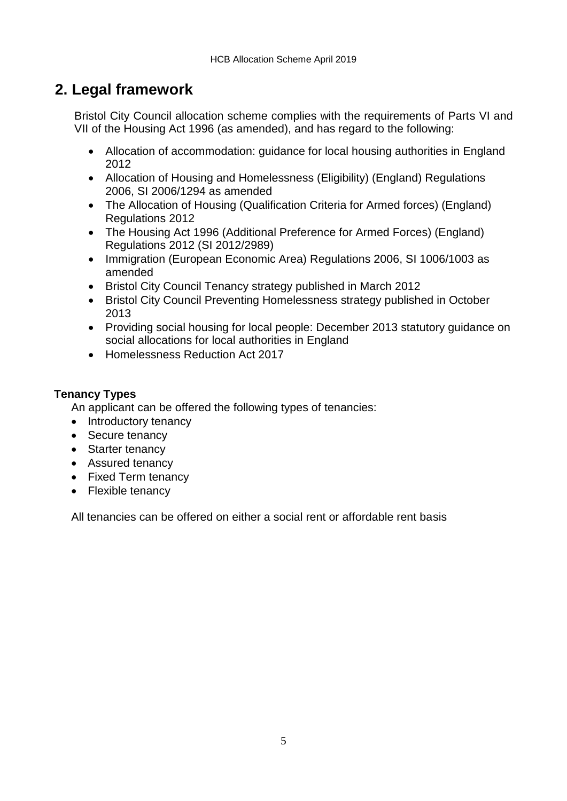# **2. Legal framework**

Bristol City Council allocation scheme complies with the requirements of Parts VI and VII of the Housing Act 1996 (as amended), and has regard to the following:

- Allocation of accommodation: guidance for local housing authorities in England 2012
- Allocation of Housing and Homelessness (Eligibility) (England) Regulations 2006, SI 2006/1294 as amended
- The Allocation of Housing (Qualification Criteria for Armed forces) (England) Regulations 2012
- The Housing Act 1996 (Additional Preference for Armed Forces) (England) Regulations 2012 (SI 2012/2989)
- Immigration (European Economic Area) Regulations 2006, SI 1006/1003 as amended
- Bristol City Council Tenancy strategy published in March 2012
- Bristol City Council Preventing Homelessness strategy published in October 2013
- Providing social housing for local people: December 2013 statutory guidance on social allocations for local authorities in England
- Homelessness Reduction Act 2017

### **Tenancy Types**

An applicant can be offered the following types of tenancies:

- Introductory tenancy
- Secure tenancy
- Starter tenancy
- Assured tenancy
- Fixed Term tenancy
- Flexible tenancy

All tenancies can be offered on either a social rent or affordable rent basis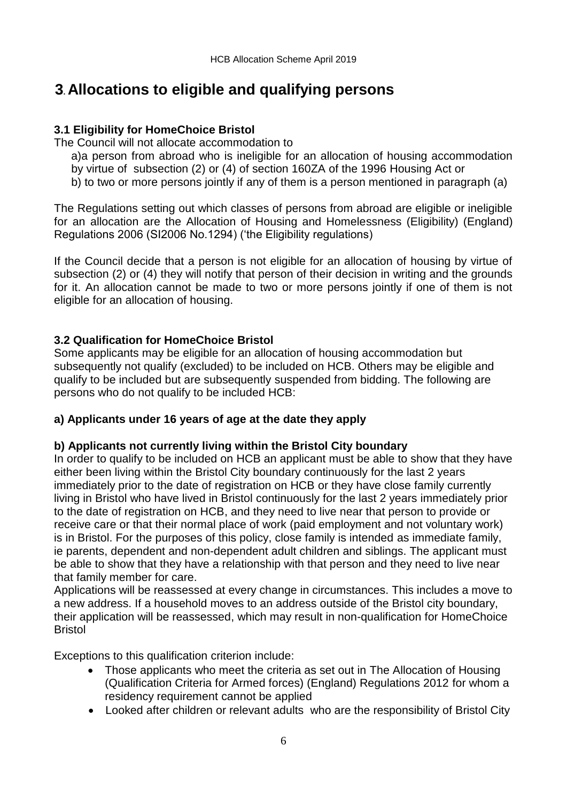# **3. Allocations to eligible and qualifying persons**

### **3.1 Eligibility for HomeChoice Bristol**

The Council will not allocate accommodation to

- a)a person from abroad who is ineligible for an allocation of housing accommodation by virtue of subsection (2) or (4) of section 160ZA of the 1996 Housing Act or
- b) to two or more persons jointly if any of them is a person mentioned in paragraph (a)

The Regulations setting out which classes of persons from abroad are eligible or ineligible for an allocation are the Allocation of Housing and Homelessness (Eligibility) (England) Regulations 2006 (SI2006 No.1294) ('the Eligibility regulations)

If the Council decide that a person is not eligible for an allocation of housing by virtue of subsection (2) or (4) they will notify that person of their decision in writing and the grounds for it. An allocation cannot be made to two or more persons jointly if one of them is not eligible for an allocation of housing.

### **3.2 Qualification for HomeChoice Bristol**

Some applicants may be eligible for an allocation of housing accommodation but subsequently not qualify (excluded) to be included on HCB. Others may be eligible and qualify to be included but are subsequently suspended from bidding. The following are persons who do not qualify to be included HCB:

### **a) Applicants under 16 years of age at the date they apply**

### **b) Applicants not currently living within the Bristol City boundary**

In order to qualify to be included on HCB an applicant must be able to show that they have either been living within the Bristol City boundary continuously for the last 2 years immediately prior to the date of registration on HCB or they have close family currently living in Bristol who have lived in Bristol continuously for the last 2 years immediately prior to the date of registration on HCB, and they need to live near that person to provide or receive care or that their normal place of work (paid employment and not voluntary work) is in Bristol. For the purposes of this policy, close family is intended as immediate family, ie parents, dependent and non-dependent adult children and siblings. The applicant must be able to show that they have a relationship with that person and they need to live near that family member for care.

Applications will be reassessed at every change in circumstances. This includes a move to a new address. If a household moves to an address outside of the Bristol city boundary, their application will be reassessed, which may result in non-qualification for HomeChoice Bristol

Exceptions to this qualification criterion include:

- Those applicants who meet the criteria as set out in The Allocation of Housing (Qualification Criteria for Armed forces) (England) Regulations 2012 for whom a residency requirement cannot be applied
- Looked after children or relevant adults who are the responsibility of Bristol City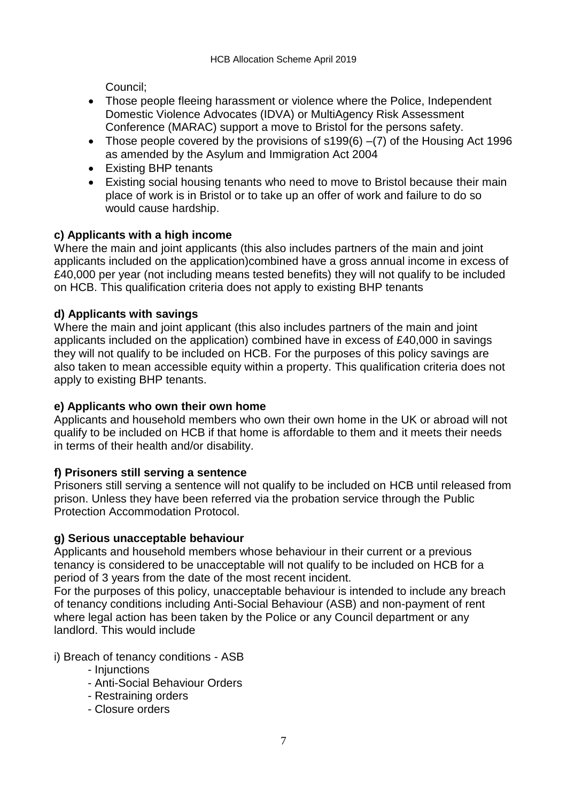Council;

- Those people fleeing harassment or violence where the Police, Independent Domestic Violence Advocates (IDVA) or MultiAgency Risk Assessment Conference (MARAC) support a move to Bristol for the persons safety.
- Those people covered by the provisions of s199(6) –(7) of the Housing Act 1996 as amended by the Asylum and Immigration Act 2004
- Existing BHP tenants
- Existing social housing tenants who need to move to Bristol because their main place of work is in Bristol or to take up an offer of work and failure to do so would cause hardship.

### **c) Applicants with a high income**

Where the main and joint applicants (this also includes partners of the main and joint applicants included on the application)combined have a gross annual income in excess of £40,000 per year (not including means tested benefits) they will not qualify to be included on HCB. This qualification criteria does not apply to existing BHP tenants

### **d) Applicants with savings**

Where the main and joint applicant (this also includes partners of the main and joint applicants included on the application) combined have in excess of £40,000 in savings they will not qualify to be included on HCB. For the purposes of this policy savings are also taken to mean accessible equity within a property. This qualification criteria does not apply to existing BHP tenants.

### **e) Applicants who own their own home**

Applicants and household members who own their own home in the UK or abroad will not qualify to be included on HCB if that home is affordable to them and it meets their needs in terms of their health and/or disability.

### **f) Prisoners still serving a sentence**

Prisoners still serving a sentence will not qualify to be included on HCB until released from prison. Unless they have been referred via the probation service through the Public Protection Accommodation Protocol.

### **g) Serious unacceptable behaviour**

Applicants and household members whose behaviour in their current or a previous tenancy is considered to be unacceptable will not qualify to be included on HCB for a period of 3 years from the date of the most recent incident.

For the purposes of this policy, unacceptable behaviour is intended to include any breach of tenancy conditions including Anti-Social Behaviour (ASB) and non-payment of rent where legal action has been taken by the Police or any Council department or any landlord. This would include

i) Breach of tenancy conditions - ASB

- Injunctions
- Anti-Social Behaviour Orders
- Restraining orders
- Closure orders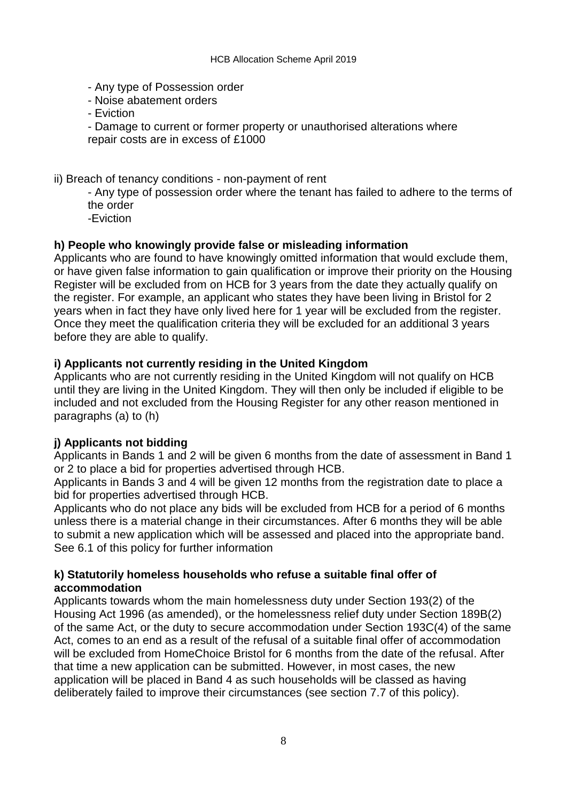- Any type of Possession order
- Noise abatement orders
- Eviction
- Damage to current or former property or unauthorised alterations where repair costs are in excess of £1000
- ii) Breach of tenancy conditions non-payment of rent
	- Any type of possession order where the tenant has failed to adhere to the terms of the order
	- -Eviction

### **h) People who knowingly provide false or misleading information**

Applicants who are found to have knowingly omitted information that would exclude them, or have given false information to gain qualification or improve their priority on the Housing Register will be excluded from on HCB for 3 years from the date they actually qualify on the register. For example, an applicant who states they have been living in Bristol for 2 years when in fact they have only lived here for 1 year will be excluded from the register. Once they meet the qualification criteria they will be excluded for an additional 3 years before they are able to qualify.

#### **i) Applicants not currently residing in the United Kingdom**

Applicants who are not currently residing in the United Kingdom will not qualify on HCB until they are living in the United Kingdom. They will then only be included if eligible to be included and not excluded from the Housing Register for any other reason mentioned in paragraphs (a) to (h)

### **j) Applicants not bidding**

Applicants in Bands 1 and 2 will be given 6 months from the date of assessment in Band 1 or 2 to place a bid for properties advertised through HCB.

Applicants in Bands 3 and 4 will be given 12 months from the registration date to place a bid for properties advertised through HCB.

Applicants who do not place any bids will be excluded from HCB for a period of 6 months unless there is a material change in their circumstances. After 6 months they will be able to submit a new application which will be assessed and placed into the appropriate band. See 6.1 of this policy for further information

#### **k) Statutorily homeless households who refuse a suitable final offer of accommodation**

Applicants towards whom the main homelessness duty under Section 193(2) of the Housing Act 1996 (as amended), or the homelessness relief duty under Section 189B(2) of the same Act, or the duty to secure accommodation under Section 193C(4) of the same Act, comes to an end as a result of the refusal of a suitable final offer of accommodation will be excluded from HomeChoice Bristol for 6 months from the date of the refusal. After that time a new application can be submitted. However, in most cases, the new application will be placed in Band 4 as such households will be classed as having deliberately failed to improve their circumstances (see section 7.7 of this policy).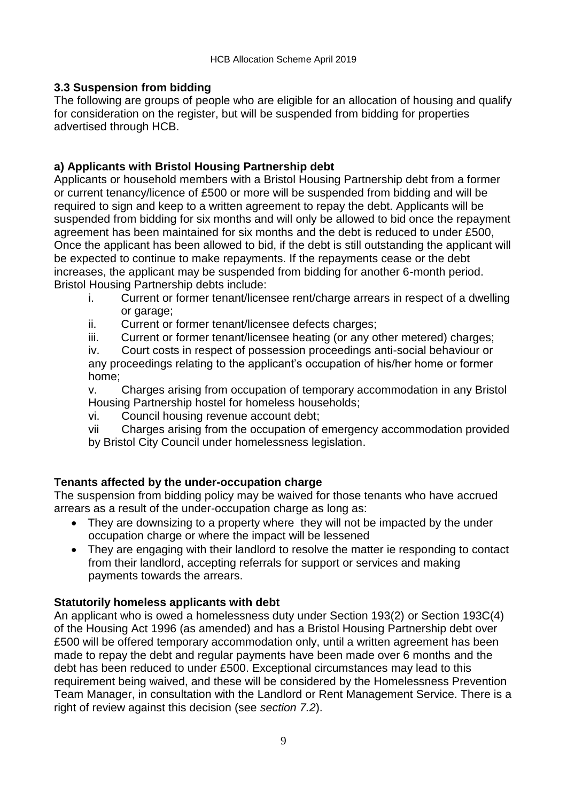### **3.3 Suspension from bidding**

The following are groups of people who are eligible for an allocation of housing and qualify for consideration on the register, but will be suspended from bidding for properties advertised through HCB.

### **a) Applicants with Bristol Housing Partnership debt**

Applicants or household members with a Bristol Housing Partnership debt from a former or current tenancy/licence of £500 or more will be suspended from bidding and will be required to sign and keep to a written agreement to repay the debt. Applicants will be suspended from bidding for six months and will only be allowed to bid once the repayment agreement has been maintained for six months and the debt is reduced to under £500, Once the applicant has been allowed to bid, if the debt is still outstanding the applicant will be expected to continue to make repayments. If the repayments cease or the debt increases, the applicant may be suspended from bidding for another 6-month period. Bristol Housing Partnership debts include:

- i. Current or former tenant/licensee rent/charge arrears in respect of a dwelling or garage;
- ii. Current or former tenant/licensee defects charges;
- iii. Current or former tenant/licensee heating (or any other metered) charges;

iv. Court costs in respect of possession proceedings anti-social behaviour or any proceedings relating to the applicant's occupation of his/her home or former home;

v. Charges arising from occupation of temporary accommodation in any Bristol Housing Partnership hostel for homeless households;

vi. Council housing revenue account debt;

vii Charges arising from the occupation of emergency accommodation provided by Bristol City Council under homelessness legislation.

### **Tenants affected by the under-occupation charge**

The suspension from bidding policy may be waived for those tenants who have accrued arrears as a result of the under-occupation charge as long as:

- They are downsizing to a property where they will not be impacted by the under occupation charge or where the impact will be lessened
- They are engaging with their landlord to resolve the matter ie responding to contact from their landlord, accepting referrals for support or services and making payments towards the arrears.

### **Statutorily homeless applicants with debt**

An applicant who is owed a homelessness duty under Section 193(2) or Section 193C(4) of the Housing Act 1996 (as amended) and has a Bristol Housing Partnership debt over £500 will be offered temporary accommodation only, until a written agreement has been made to repay the debt and regular payments have been made over 6 months and the debt has been reduced to under £500. Exceptional circumstances may lead to this requirement being waived, and these will be considered by the Homelessness Prevention Team Manager, in consultation with the Landlord or Rent Management Service. There is a right of review against this decision (see *section 7.2*).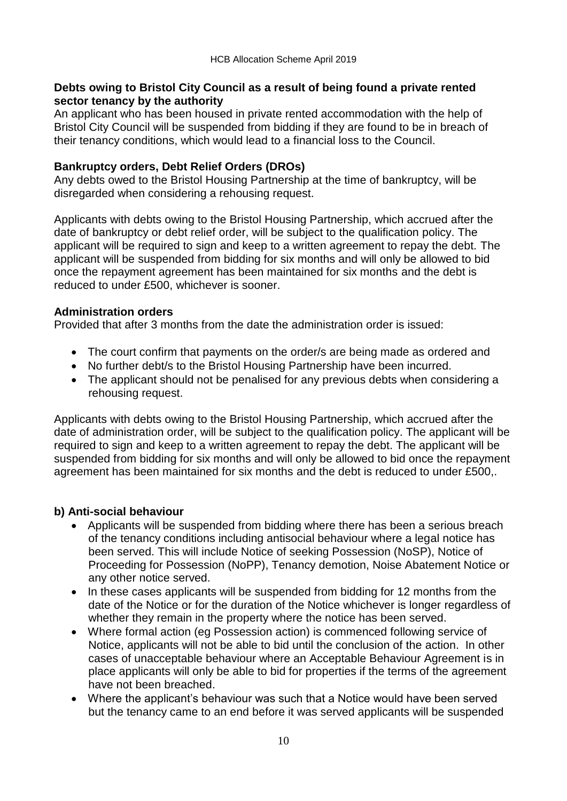#### **Debts owing to Bristol City Council as a result of being found a private rented sector tenancy by the authority**

An applicant who has been housed in private rented accommodation with the help of Bristol City Council will be suspended from bidding if they are found to be in breach of their tenancy conditions, which would lead to a financial loss to the Council.

#### **Bankruptcy orders, Debt Relief Orders (DROs)**

Any debts owed to the Bristol Housing Partnership at the time of bankruptcy, will be disregarded when considering a rehousing request.

Applicants with debts owing to the Bristol Housing Partnership, which accrued after the date of bankruptcy or debt relief order, will be subject to the qualification policy. The applicant will be required to sign and keep to a written agreement to repay the debt. The applicant will be suspended from bidding for six months and will only be allowed to bid once the repayment agreement has been maintained for six months and the debt is reduced to under £500, whichever is sooner.

#### **Administration orders**

Provided that after 3 months from the date the administration order is issued:

- The court confirm that payments on the order/s are being made as ordered and
- No further debt/s to the Bristol Housing Partnership have been incurred.
- The applicant should not be penalised for any previous debts when considering a rehousing request.

Applicants with debts owing to the Bristol Housing Partnership, which accrued after the date of administration order, will be subject to the qualification policy. The applicant will be required to sign and keep to a written agreement to repay the debt. The applicant will be suspended from bidding for six months and will only be allowed to bid once the repayment agreement has been maintained for six months and the debt is reduced to under £500,.

### **b) Anti-social behaviour**

- Applicants will be suspended from bidding where there has been a serious breach of the tenancy conditions including antisocial behaviour where a legal notice has been served. This will include Notice of seeking Possession (NoSP), Notice of Proceeding for Possession (NoPP), Tenancy demotion, Noise Abatement Notice or any other notice served.
- In these cases applicants will be suspended from bidding for 12 months from the date of the Notice or for the duration of the Notice whichever is longer regardless of whether they remain in the property where the notice has been served.
- Where formal action (eg Possession action) is commenced following service of Notice, applicants will not be able to bid until the conclusion of the action. In other cases of unacceptable behaviour where an Acceptable Behaviour Agreement is in place applicants will only be able to bid for properties if the terms of the agreement have not been breached.
- Where the applicant's behaviour was such that a Notice would have been served but the tenancy came to an end before it was served applicants will be suspended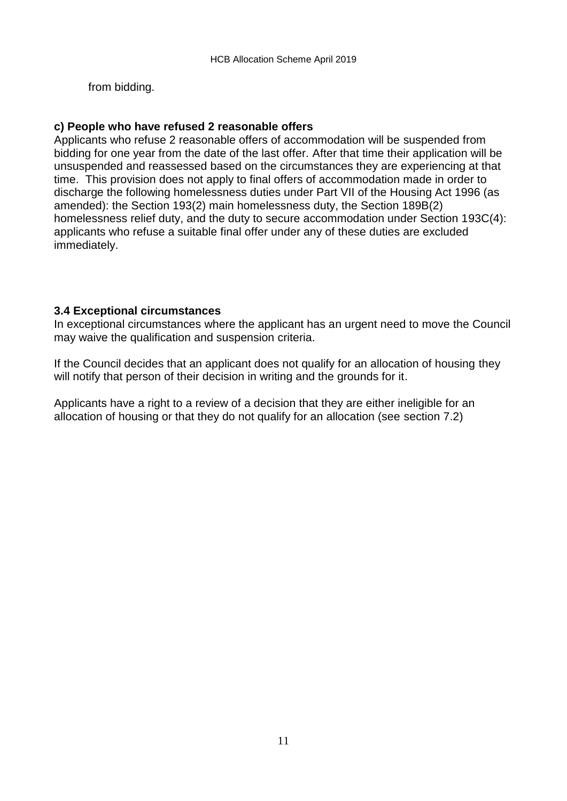from bidding.

#### **c) People who have refused 2 reasonable offers**

Applicants who refuse 2 reasonable offers of accommodation will be suspended from bidding for one year from the date of the last offer. After that time their application will be unsuspended and reassessed based on the circumstances they are experiencing at that time. This provision does not apply to final offers of accommodation made in order to discharge the following homelessness duties under Part VII of the Housing Act 1996 (as amended): the Section 193(2) main homelessness duty, the Section 189B(2) homelessness relief duty, and the duty to secure accommodation under Section 193C(4): applicants who refuse a suitable final offer under any of these duties are excluded immediately.

#### **3.4 Exceptional circumstances**

In exceptional circumstances where the applicant has an urgent need to move the Council may waive the qualification and suspension criteria.

If the Council decides that an applicant does not qualify for an allocation of housing they will notify that person of their decision in writing and the grounds for it.

Applicants have a right to a review of a decision that they are either ineligible for an allocation of housing or that they do not qualify for an allocation (see section 7.2)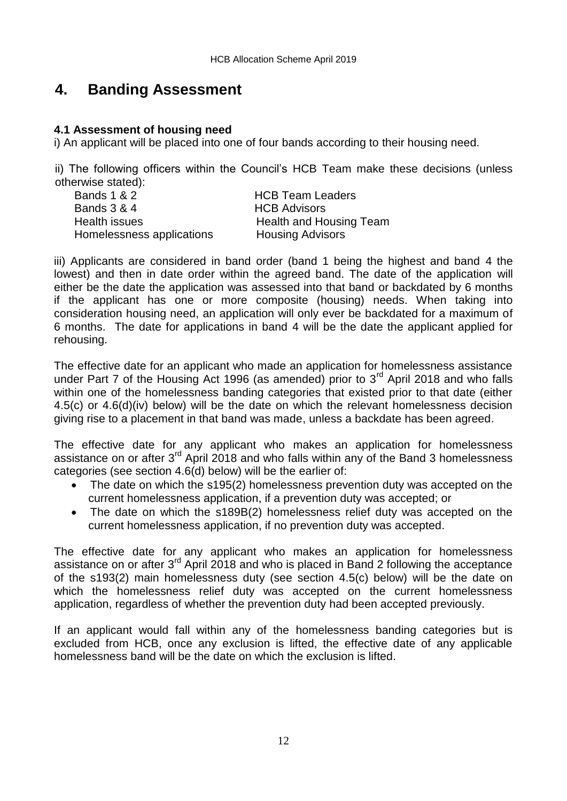## **4. Banding Assessment**

#### **4.1 Assessment of housing need**

i) An applicant will be placed into one of four bands according to their housing need.

ii) The following officers within the Council's HCB Team make these decisions (unless otherwise stated):

| . <del>.</del>            |                         |
|---------------------------|-------------------------|
| Bands 1 & 2               | <b>HCB Team Leaders</b> |
| Bands 3 & 4               | <b>HCB Advisors</b>     |
| Health issues             | Health and Housing Team |
| Homelessness applications | <b>Housing Advisors</b> |
|                           |                         |

iii) Applicants are considered in band order (band 1 being the highest and band 4 the lowest) and then in date order within the agreed band. The date of the application will either be the date the application was assessed into that band or backdated by 6 months if the applicant has one or more composite (housing) needs. When taking into consideration housing need, an application will only ever be backdated for a maximum of 6 months. The date for applications in band 4 will be the date the applicant applied for rehousing.

The effective date for an applicant who made an application for homelessness assistance under Part 7 of the Housing Act 1996 (as amended) prior to  $3<sup>rd</sup>$  April 2018 and who falls within one of the homelessness banding categories that existed prior to that date (either 4.5(c) or 4.6(d)(iv) below) will be the date on which the relevant homelessness decision giving rise to a placement in that band was made, unless a backdate has been agreed.

The effective date for any applicant who makes an application for homelessness assistance on or after 3<sup>rd</sup> April 2018 and who falls within any of the Band 3 homelessness categories (see section 4.6(d) below) will be the earlier of:

- The date on which the s195(2) homelessness prevention duty was accepted on the current homelessness application, if a prevention duty was accepted; or
- The date on which the s189B(2) homelessness relief duty was accepted on the current homelessness application, if no prevention duty was accepted.

The effective date for any applicant who makes an application for homelessness assistance on or after 3rd April 2018 and who is placed in Band 2 following the acceptance of the s193(2) main homelessness duty (see section 4.5(c) below) will be the date on which the homelessness relief duty was accepted on the current homelessness application, regardless of whether the prevention duty had been accepted previously.

If an applicant would fall within any of the homelessness banding categories but is excluded from HCB, once any exclusion is lifted, the effective date of any applicable homelessness band will be the date on which the exclusion is lifted.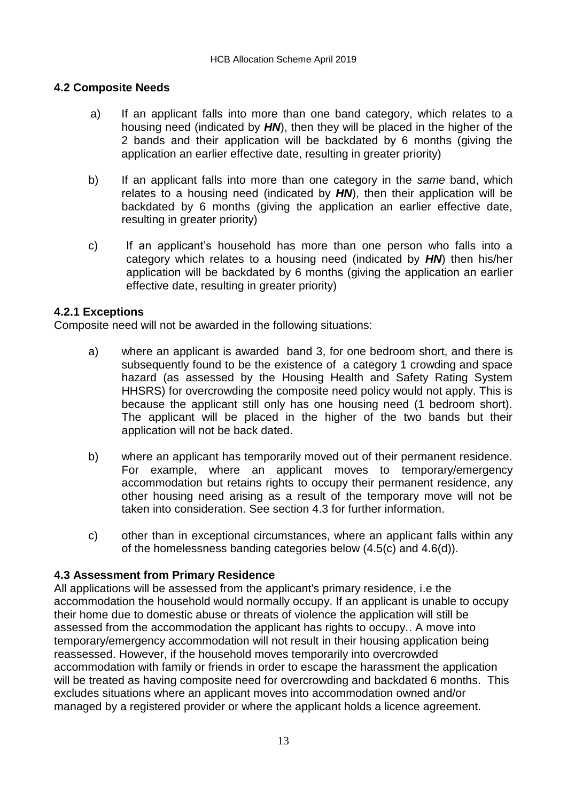### **4.2 Composite Needs**

- a) If an applicant falls into more than one band category, which relates to a housing need (indicated by *HN*), then they will be placed in the higher of the 2 bands and their application will be backdated by 6 months (giving the application an earlier effective date, resulting in greater priority)
- b) If an applicant falls into more than one category in the *same* band, which relates to a housing need (indicated by *HN*), then their application will be backdated by 6 months (giving the application an earlier effective date,  $r$ esulting in greater priority) relationships to a housing neutrino  $r$
- c) If an applicant's household has more than one person who falls into a category which relates to a housing need (indicated by *HN*) then his/her application will be backdated by 6 months (giving the application an earlier effective date, resulting in greater priority)

### **4.2.1 Exceptions**

Composite need will not be awarded in the following situations:

- a) where an applicant is awarded band 3, for one bedroom short, and there is subsequently found to be the existence of a category 1 crowding and space hazard (as assessed by the Housing Health and Safety Rating System HHSRS) for overcrowding the composite need policy would not apply. This is because the applicant still only has one housing need (1 bedroom short). The applicant will be placed in the higher of the two bands but their application will not be back dated.
- b) where an applicant has temporarily moved out of their permanent residence. For example, where an applicant moves to temporary/emergency accommodation but retains rights to occupy their permanent residence, any other housing need arising as a result of the temporary move will not be taken into consideration. See section 4.3 for further information.
- c) other than in exceptional circumstances, where an applicant falls within any of the homelessness banding categories below (4.5(c) and 4.6(d)).

### **4.3 Assessment from Primary Residence**

All applications will be assessed from the applicant's primary residence, i.e the accommodation the household would normally occupy. If an applicant is unable to occupy their home due to domestic abuse or threats of violence the application will still be assessed from the accommodation the applicant has rights to occupy.. A move into temporary/emergency accommodation will not result in their housing application being reassessed. However, if the household moves temporarily into overcrowded accommodation with family or friends in order to escape the harassment the application will be treated as having composite need for overcrowding and backdated 6 months. This excludes situations where an applicant moves into accommodation owned and/or managed by a registered provider or where the applicant holds a licence agreement.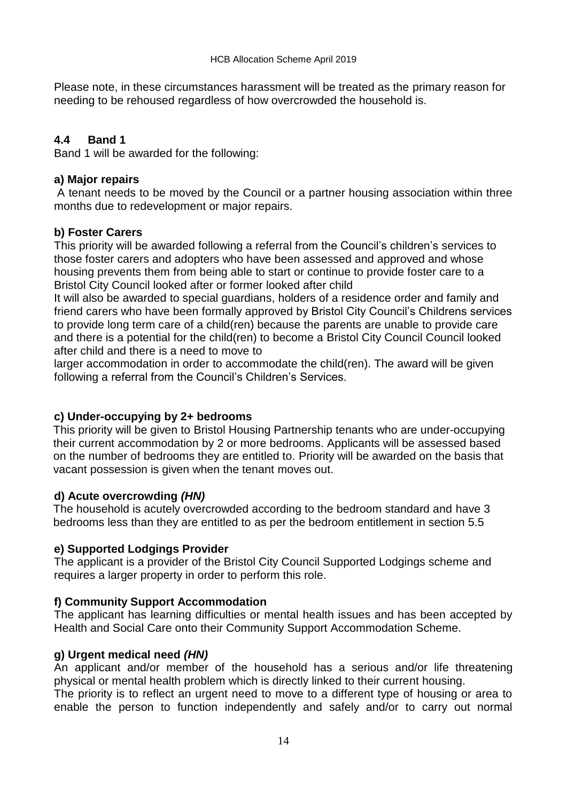Please note, in these circumstances harassment will be treated as the primary reason for needing to be rehoused regardless of how overcrowded the household is.

### **4.4 Band 1**

Band 1 will be awarded for the following:

### **a) Major repairs**

A tenant needs to be moved by the Council or a partner housing association within three months due to redevelopment or major repairs.

### **b) Foster Carers**

This priority will be awarded following a referral from the Council's children's services to those foster carers and adopters who have been assessed and approved and whose housing prevents them from being able to start or continue to provide foster care to a Bristol City Council looked after or former looked after child

It will also be awarded to special guardians, holders of a residence order and family and friend carers who have been formally approved by Bristol City Council's Childrens services to provide long term care of a child(ren) because the parents are unable to provide care and there is a potential for the child(ren) to become a Bristol City Council Council looked after child and there is a need to move to

larger accommodation in order to accommodate the child(ren). The award will be given following a referral from the Council's Children's Services.

### **c) Under-occupying by 2+ bedrooms**

This priority will be given to Bristol Housing Partnership tenants who are under-occupying their current accommodation by 2 or more bedrooms. Applicants will be assessed based on the number of bedrooms they are entitled to. Priority will be awarded on the basis that vacant possession is given when the tenant moves out.

### **d) Acute overcrowding** *(HN)*

The household is acutely overcrowded according to the bedroom standard and have 3 bedrooms less than they are entitled to as per the bedroom entitlement in section 5.5

### **e) Supported Lodgings Provider**

The applicant is a provider of the Bristol City Council Supported Lodgings scheme and requires a larger property in order to perform this role.

### **f) Community Support Accommodation**

The applicant has learning difficulties or mental health issues and has been accepted by Health and Social Care onto their Community Support Accommodation Scheme.

### **g) Urgent medical need** *(HN)*

An applicant and/or member of the household has a serious and/or life threatening physical or mental health problem which is directly linked to their current housing. The priority is to reflect an urgent need to move to a different type of housing or area to enable the person to function independently and safely and/or to carry out normal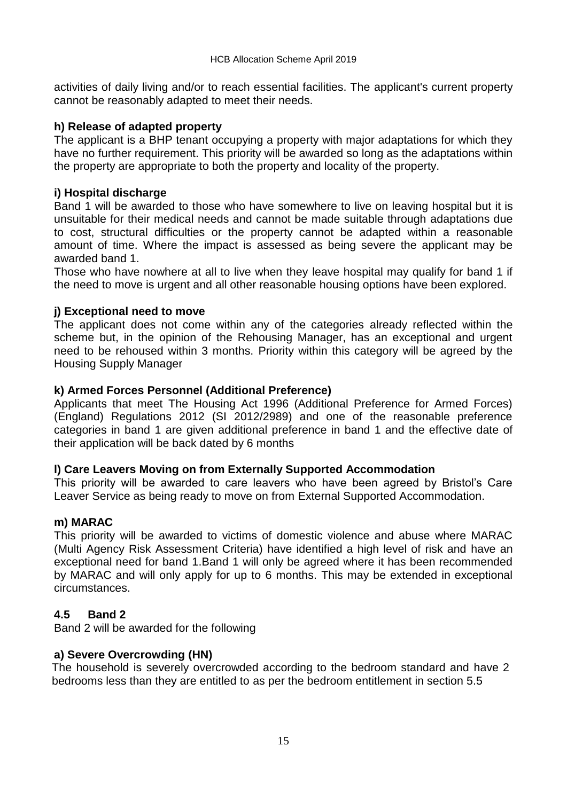activities of daily living and/or to reach essential facilities. The applicant's current property cannot be reasonably adapted to meet their needs.

### **h) Release of adapted property**

The applicant is a BHP tenant occupying a property with major adaptations for which they have no further requirement. This priority will be awarded so long as the adaptations within the property are appropriate to both the property and locality of the property.

#### **i) Hospital discharge**

Band 1 will be awarded to those who have somewhere to live on leaving hospital but it is unsuitable for their medical needs and cannot be made suitable through adaptations due to cost, structural difficulties or the property cannot be adapted within a reasonable amount of time. Where the impact is assessed as being severe the applicant may be awarded band 1.

Those who have nowhere at all to live when they leave hospital may qualify for band 1 if the need to move is urgent and all other reasonable housing options have been explored.

#### **j) Exceptional need to move**

The applicant does not come within any of the categories already reflected within the scheme but, in the opinion of the Rehousing Manager, has an exceptional and urgent need to be rehoused within 3 months. Priority within this category will be agreed by the Housing Supply Manager

#### **k) Armed Forces Personnel (Additional Preference)**

Applicants that meet The Housing Act 1996 (Additional Preference for Armed Forces) (England) Regulations 2012 (SI 2012/2989) and one of the reasonable preference categories in band 1 are given additional preference in band 1 and the effective date of their application will be back dated by 6 months

#### **l) Care Leavers Moving on from Externally Supported Accommodation**

This priority will be awarded to care leavers who have been agreed by Bristol's Care Leaver Service as being ready to move on from External Supported Accommodation.

#### **m) MARAC**

This priority will be awarded to victims of domestic violence and abuse where MARAC (Multi Agency Risk Assessment Criteria) have identified a high level of risk and have an exceptional need for band 1.Band 1 will only be agreed where it has been recommended by MARAC and will only apply for up to 6 months. This may be extended in exceptional circumstances.

### **4.5 Band 2**

Band 2 will be awarded for the following

### **a) Severe Overcrowding (HN)**

The household is severely overcrowded according to the bedroom standard and have 2 bedrooms less than they are entitled to as per the bedroom entitlement in section 5.5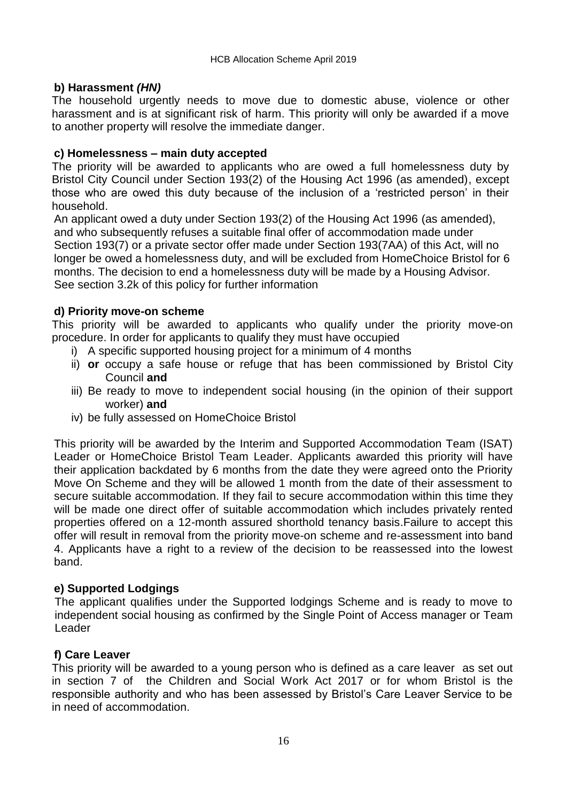### **b) Harassment** *(HN)*

The household urgently needs to move due to domestic abuse, violence or other harassment and is at significant risk of harm. This priority will only be awarded if a move to another property will resolve the immediate danger.

### **c) Homelessness – main duty accepted**

The priority will be awarded to applicants who are owed a full homelessness duty by Bristol City Council under Section 193(2) of the Housing Act 1996 (as amended), except those who are owed this duty because of the inclusion of a 'restricted person' in their household.

An applicant owed a duty under Section 193(2) of the Housing Act 1996 (as amended), and who subsequently refuses a suitable final offer of accommodation made under Section 193(7) or a private sector offer made under Section 193(7AA) of this Act, will no longer be owed a homelessness duty, and will be excluded from HomeChoice Bristol for 6 months. The decision to end a homelessness duty will be made by a Housing Advisor. See section 3.2k of this policy for further information

#### **d) Priority move-on scheme**

This priority will be awarded to applicants who qualify under the priority move-on procedure. In order for applicants to qualify they must have occupied

- i) A specific supported housing project for a minimum of 4 months
- ii) **or** occupy a safe house or refuge that has been commissioned by Bristol City Council **and**
- iii) Be ready to move to independent social housing (in the opinion of their support worker) **and**
- iv) be fully assessed on HomeChoice Bristol

This priority will be awarded by the Interim and Supported Accommodation Team (ISAT) Leader or HomeChoice Bristol Team Leader. Applicants awarded this priority will have their application backdated by 6 months from the date they were agreed onto the Priority Move On Scheme and they will be allowed 1 month from the date of their assessment to secure suitable accommodation. If they fail to secure accommodation within this time they will be made one direct offer of suitable accommodation which includes privately rented properties offered on a 12-month assured shorthold tenancy basis.Failure to accept this offer will result in removal from the priority move-on scheme and re-assessment into band 4. Applicants have a right to a review of the decision to be reassessed into the lowest band.

### **e) Supported Lodgings**

The applicant qualifies under the Supported lodgings Scheme and is ready to move to independent social housing as confirmed by the Single Point of Access manager or Team Leader

### **f) Care Leaver**

This priority will be awarded to a young person who is defined as a care leaver as set out in section 7 of the Children and Social Work Act 2017 or for whom Bristol is the responsible authority and who has been assessed by Bristol's Care Leaver Service to be in need of accommodation.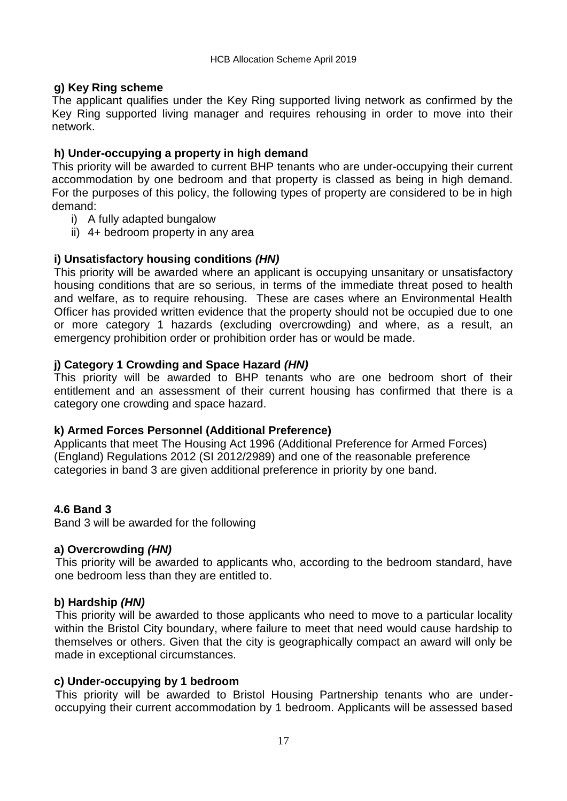### **g) Key Ring scheme**

The applicant qualifies under the Key Ring supported living network as confirmed by the Key Ring supported living manager and requires rehousing in order to move into their network.

### **h) Under-occupying a property in high demand**

This priority will be awarded to current BHP tenants who are under-occupying their current accommodation by one bedroom and that property is classed as being in high demand. For the purposes of this policy, the following types of property are considered to be in high demand:

- i) A fully adapted bungalow
- ii) 4+ bedroom property in any area

### **i) Unsatisfactory housing conditions** *(HN)*

This priority will be awarded where an applicant is occupying unsanitary or unsatisfactory housing conditions that are so serious, in terms of the immediate threat posed to health and welfare, as to require rehousing. These are cases where an Environmental Health Officer has provided written evidence that the property should not be occupied due to one or more category 1 hazards (excluding overcrowding) and where, as a result, an emergency prohibition order or prohibition order has or would be made.

#### **j) Category 1 Crowding and Space Hazard** *(HN)*

This priority will be awarded to BHP tenants who are one bedroom short of their entitlement and an assessment of their current housing has confirmed that there is a category one crowding and space hazard.

### **k) Armed Forces Personnel (Additional Preference)**

Applicants that meet The Housing Act 1996 (Additional Preference for Armed Forces) (England) Regulations 2012 (SI 2012/2989) and one of the reasonable preference categories in band 3 are given additional preference in priority by one band.

### **4.6 Band 3**

Band 3 will be awarded for the following

#### **a) Overcrowding** *(HN)*

This priority will be awarded to applicants who, according to the bedroom standard, have one bedroom less than they are entitled to.

#### **b) Hardship** *(HN)*

This priority will be awarded to those applicants who need to move to a particular locality within the Bristol City boundary, where failure to meet that need would cause hardship to themselves or others. Given that the city is geographically compact an award will only be made in exceptional circumstances.

#### **c) Under-occupying by 1 bedroom**

This priority will be awarded to Bristol Housing Partnership tenants who are underoccupying their current accommodation by 1 bedroom. Applicants will be assessed based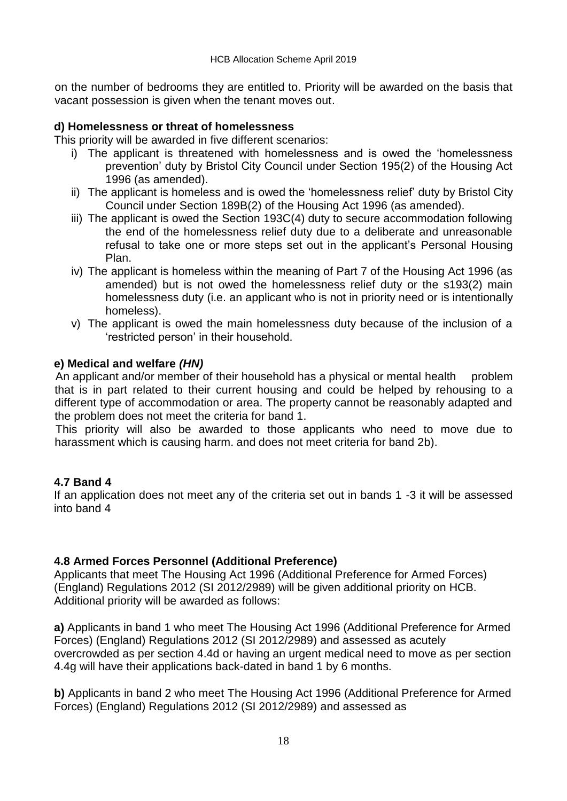on the number of bedrooms they are entitled to. Priority will be awarded on the basis that vacant possession is given when the tenant moves out.

#### **d) Homelessness or threat of homelessness**

This priority will be awarded in five different scenarios:

- i) The applicant is threatened with homelessness and is owed the 'homelessness prevention' duty by Bristol City Council under Section 195(2) of the Housing Act 1996 (as amended).
- ii) The applicant is homeless and is owed the 'homelessness relief' duty by Bristol City Council under Section 189B(2) of the Housing Act 1996 (as amended).
- iii) The applicant is owed the Section 193C(4) duty to secure accommodation following the end of the homelessness relief duty due to a deliberate and unreasonable refusal to take one or more steps set out in the applicant's Personal Housing Plan.
- iv) The applicant is homeless within the meaning of Part 7 of the Housing Act 1996 (as amended) but is not owed the homelessness relief duty or the s193(2) main homelessness duty (i.e. an applicant who is not in priority need or is intentionally homeless).
- v) The applicant is owed the main homelessness duty because of the inclusion of a 'restricted person' in their household.

#### **e) Medical and welfare** *(HN)*

An applicant and/or member of their household has a physical or mental health problem that is in part related to their current housing and could be helped by rehousing to a different type of accommodation or area. The property cannot be reasonably adapted and the problem does not meet the criteria for band 1.

This priority will also be awarded to those applicants who need to move due to harassment which is causing harm. and does not meet criteria for band 2b).

### **4.7 Band 4**

If an application does not meet any of the criteria set out in bands 1 -3 it will be assessed into band 4

### **4.8 Armed Forces Personnel (Additional Preference)**

Applicants that meet The Housing Act 1996 (Additional Preference for Armed Forces) (England) Regulations 2012 (SI 2012/2989) will be given additional priority on HCB. Additional priority will be awarded as follows:

**a)** Applicants in band 1 who meet The Housing Act 1996 (Additional Preference for Armed Forces) (England) Regulations 2012 (SI 2012/2989) and assessed as acutely overcrowded as per section 4.4d or having an urgent medical need to move as per section 4.4g will have their applications back-dated in band 1 by 6 months.

**b)** Applicants in band 2 who meet The Housing Act 1996 (Additional Preference for Armed Forces) (England) Regulations 2012 (SI 2012/2989) and assessed as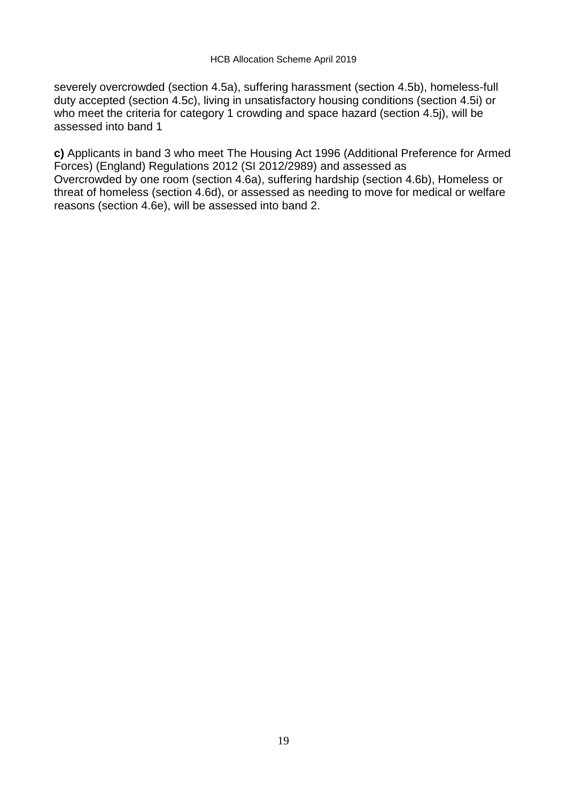severely overcrowded (section 4.5a), suffering harassment (section 4.5b), homeless-full duty accepted (section 4.5c), living in unsatisfactory housing conditions (section 4.5i) or who meet the criteria for category 1 crowding and space hazard (section 4.5j), will be assessed into band 1

**c)** Applicants in band 3 who meet The Housing Act 1996 (Additional Preference for Armed Forces) (England) Regulations 2012 (SI 2012/2989) and assessed as Overcrowded by one room (section 4.6a), suffering hardship (section 4.6b), Homeless or threat of homeless (section 4.6d), or assessed as needing to move for medical or welfare reasons (section 4.6e), will be assessed into band 2.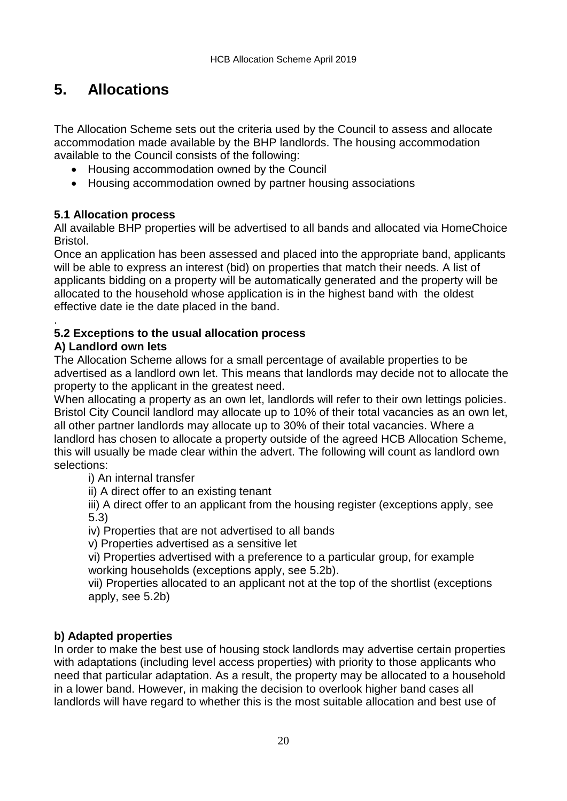# **5. Allocations**

The Allocation Scheme sets out the criteria used by the Council to assess and allocate accommodation made available by the BHP landlords. The housing accommodation available to the Council consists of the following:

- Housing accommodation owned by the Council
- Housing accommodation owned by partner housing associations

### **5.1 Allocation process**

All available BHP properties will be advertised to all bands and allocated via HomeChoice Bristol.

Once an application has been assessed and placed into the appropriate band, applicants will be able to express an interest (bid) on properties that match their needs. A list of applicants bidding on a property will be automatically generated and the property will be allocated to the household whose application is in the highest band with the oldest effective date ie the date placed in the band.

#### . **5.2 Exceptions to the usual allocation process**

### **A) Landlord own lets**

The Allocation Scheme allows for a small percentage of available properties to be advertised as a landlord own let. This means that landlords may decide not to allocate the property to the applicant in the greatest need.

When allocating a property as an own let, landlords will refer to their own lettings policies. Bristol City Council landlord may allocate up to 10% of their total vacancies as an own let, all other partner landlords may allocate up to 30% of their total vacancies. Where a landlord has chosen to allocate a property outside of the agreed HCB Allocation Scheme, this will usually be made clear within the advert. The following will count as landlord own selections:

i) An internal transfer

ii) A direct offer to an existing tenant

iii) A direct offer to an applicant from the housing register (exceptions apply, see 5.3)

iv) Properties that are not advertised to all bands

v) Properties advertised as a sensitive let

vi) Properties advertised with a preference to a particular group, for example working households (exceptions apply, see 5.2b).

vii) Properties allocated to an applicant not at the top of the shortlist (exceptions apply, see 5.2b)

### **b) Adapted properties**

In order to make the best use of housing stock landlords may advertise certain properties with adaptations (including level access properties) with priority to those applicants who need that particular adaptation. As a result, the property may be allocated to a household in a lower band. However, in making the decision to overlook higher band cases all landlords will have regard to whether this is the most suitable allocation and best use of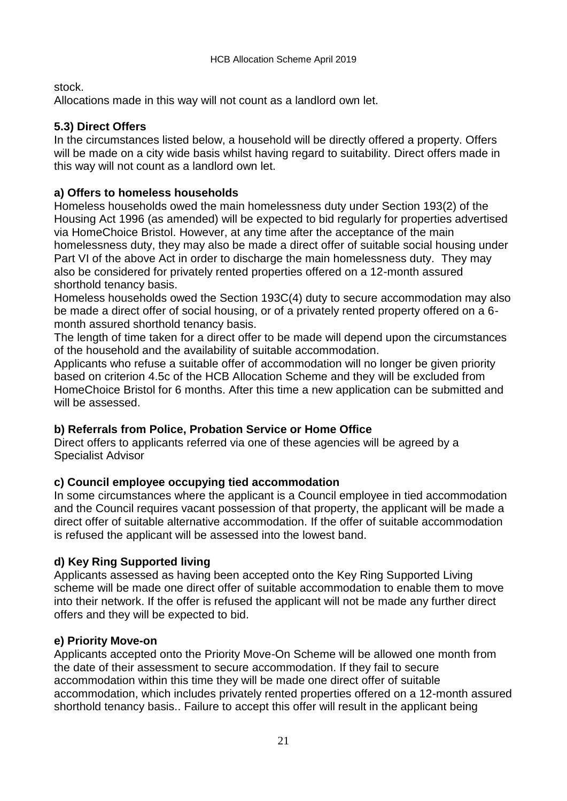stock.

Allocations made in this way will not count as a landlord own let.

### **5.3) Direct Offers**

In the circumstances listed below, a household will be directly offered a property. Offers will be made on a city wide basis whilst having regard to suitability. Direct offers made in this way will not count as a landlord own let.

#### **a) Offers to homeless households**

Homeless households owed the main homelessness duty under Section 193(2) of the Housing Act 1996 (as amended) will be expected to bid regularly for properties advertised via HomeChoice Bristol. However, at any time after the acceptance of the main homelessness duty, they may also be made a direct offer of suitable social housing under Part VI of the above Act in order to discharge the main homelessness duty. They may also be considered for privately rented properties offered on a 12-month assured shorthold tenancy basis.

Homeless households owed the Section 193C(4) duty to secure accommodation may also be made a direct offer of social housing, or of a privately rented property offered on a 6 month assured shorthold tenancy basis.

The length of time taken for a direct offer to be made will depend upon the circumstances of the household and the availability of suitable accommodation.

Applicants who refuse a suitable offer of accommodation will no longer be given priority based on criterion 4.5c of the HCB Allocation Scheme and they will be excluded from HomeChoice Bristol for 6 months. After this time a new application can be submitted and will be assessed.

### **b) Referrals from Police, Probation Service or Home Office**

Direct offers to applicants referred via one of these agencies will be agreed by a Specialist Advisor

#### **c) Council employee occupying tied accommodation**

In some circumstances where the applicant is a Council employee in tied accommodation and the Council requires vacant possession of that property, the applicant will be made a direct offer of suitable alternative accommodation. If the offer of suitable accommodation is refused the applicant will be assessed into the lowest band.

### **d) Key Ring Supported living**

Applicants assessed as having been accepted onto the Key Ring Supported Living scheme will be made one direct offer of suitable accommodation to enable them to move into their network. If the offer is refused the applicant will not be made any further direct offers and they will be expected to bid.

#### **e) Priority Move-on**

Applicants accepted onto the Priority Move-On Scheme will be allowed one month from the date of their assessment to secure accommodation. If they fail to secure accommodation within this time they will be made one direct offer of suitable accommodation, which includes privately rented properties offered on a 12-month assured shorthold tenancy basis.. Failure to accept this offer will result in the applicant being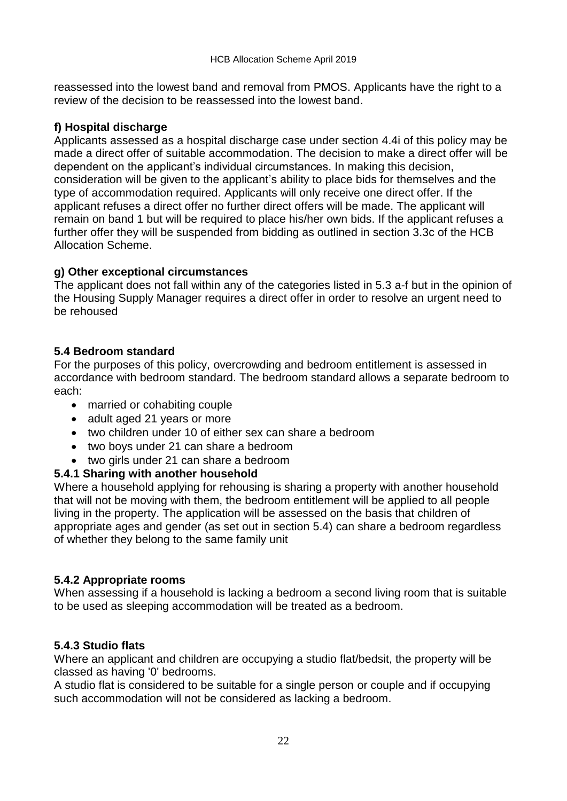reassessed into the lowest band and removal from PMOS. Applicants have the right to a review of the decision to be reassessed into the lowest band.

### **f) Hospital discharge**

Applicants assessed as a hospital discharge case under section 4.4i of this policy may be made a direct offer of suitable accommodation. The decision to make a direct offer will be dependent on the applicant's individual circumstances. In making this decision, consideration will be given to the applicant's ability to place bids for themselves and the type of accommodation required. Applicants will only receive one direct offer. If the applicant refuses a direct offer no further direct offers will be made. The applicant will remain on band 1 but will be required to place his/her own bids. If the applicant refuses a further offer they will be suspended from bidding as outlined in section 3.3c of the HCB Allocation Scheme.

### **g) Other exceptional circumstances**

The applicant does not fall within any of the categories listed in 5.3 a-f but in the opinion of the Housing Supply Manager requires a direct offer in order to resolve an urgent need to be rehoused

### **5.4 Bedroom standard**

For the purposes of this policy, overcrowding and bedroom entitlement is assessed in accordance with bedroom standard. The bedroom standard allows a separate bedroom to each:

- married or cohabiting couple
- adult aged 21 years or more
- two children under 10 of either sex can share a bedroom
- two boys under 21 can share a bedroom
- two girls under 21 can share a bedroom

### **5.4.1 Sharing with another household**

Where a household applying for rehousing is sharing a property with another household that will not be moving with them, the bedroom entitlement will be applied to all people living in the property. The application will be assessed on the basis that children of appropriate ages and gender (as set out in section 5.4) can share a bedroom regardless of whether they belong to the same family unit

### **5.4.2 Appropriate rooms**

When assessing if a household is lacking a bedroom a second living room that is suitable to be used as sleeping accommodation will be treated as a bedroom.

### **5.4.3 Studio flats**

Where an applicant and children are occupying a studio flat/bedsit, the property will be classed as having '0' bedrooms.

A studio flat is considered to be suitable for a single person or couple and if occupying such accommodation will not be considered as lacking a bedroom.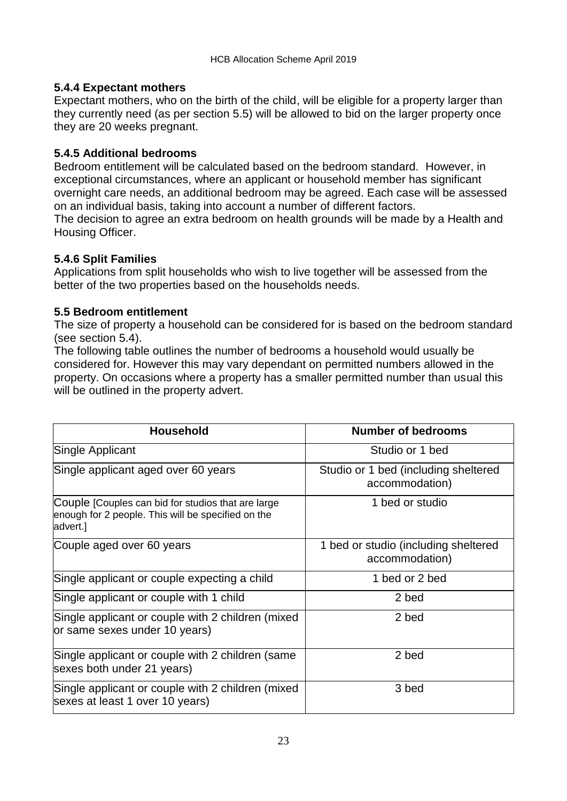### **5.4.4 Expectant mothers**

Expectant mothers, who on the birth of the child, will be eligible for a property larger than they currently need (as per section 5.5) will be allowed to bid on the larger property once they are 20 weeks pregnant.

### **5.4.5 Additional bedrooms**

Bedroom entitlement will be calculated based on the bedroom standard. However, in exceptional circumstances, where an applicant or household member has significant overnight care needs, an additional bedroom may be agreed. Each case will be assessed on an individual basis, taking into account a number of different factors.

The decision to agree an extra bedroom on health grounds will be made by a Health and Housing Officer.

### **5.4.6 Split Families**

Applications from split households who wish to live together will be assessed from the better of the two properties based on the households needs.

### **5.5 Bedroom entitlement**

The size of property a household can be considered for is based on the bedroom standard (see section 5.4).

The following table outlines the number of bedrooms a household would usually be considered for. However this may vary dependant on permitted numbers allowed in the property. On occasions where a property has a smaller permitted number than usual this will be outlined in the property advert.

| Household                                                                                                            | <b>Number of bedrooms</b>                              |
|----------------------------------------------------------------------------------------------------------------------|--------------------------------------------------------|
| Single Applicant                                                                                                     | Studio or 1 bed                                        |
| Single applicant aged over 60 years                                                                                  | Studio or 1 bed (including sheltered<br>accommodation) |
| Couple [Couples can bid for studios that are large<br>enough for 2 people. This will be specified on the<br>advert.] | 1 bed or studio                                        |
| Couple aged over 60 years                                                                                            | 1 bed or studio (including sheltered<br>accommodation) |
| Single applicant or couple expecting a child                                                                         | 1 bed or 2 bed                                         |
| Single applicant or couple with 1 child                                                                              | 2 bed                                                  |
| Single applicant or couple with 2 children (mixed<br>or same sexes under 10 years)                                   | 2 bed                                                  |
| Single applicant or couple with 2 children (same<br>sexes both under 21 years)                                       | 2 bed                                                  |
| Single applicant or couple with 2 children (mixed<br>sexes at least 1 over 10 years)                                 | 3 bed                                                  |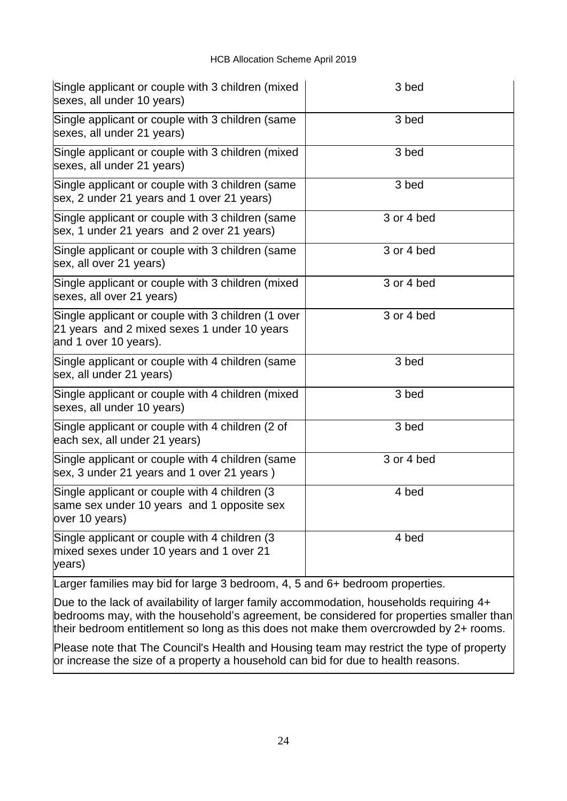| Single applicant or couple with 3 children (mixed<br>sexes, all under 10 years)                                            | 3 bed      |  |  |
|----------------------------------------------------------------------------------------------------------------------------|------------|--|--|
| Single applicant or couple with 3 children (same<br>sexes, all under 21 years)                                             | 3 bed      |  |  |
| Single applicant or couple with 3 children (mixed<br>sexes, all under 21 years)                                            | 3 bed      |  |  |
| Single applicant or couple with 3 children (same<br>sex, 2 under 21 years and 1 over 21 years)                             | 3 bed      |  |  |
| Single applicant or couple with 3 children (same<br>sex, 1 under 21 years and 2 over 21 years)                             | 3 or 4 bed |  |  |
| Single applicant or couple with 3 children (same<br>sex, all over 21 years)                                                | 3 or 4 bed |  |  |
| Single applicant or couple with 3 children (mixed<br>sexes, all over 21 years)                                             | 3 or 4 bed |  |  |
| Single applicant or couple with 3 children (1 over<br>21 years and 2 mixed sexes 1 under 10 years<br>and 1 over 10 years). | 3 or 4 bed |  |  |
| Single applicant or couple with 4 children (same<br>sex, all under 21 years)                                               | 3 bed      |  |  |
| Single applicant or couple with 4 children (mixed<br>sexes, all under 10 years)                                            | 3 bed      |  |  |
| Single applicant or couple with 4 children (2 of<br>each sex, all under 21 years)                                          | 3 bed      |  |  |
| Single applicant or couple with 4 children (same<br>sex, 3 under 21 years and 1 over 21 years)                             | 3 or 4 bed |  |  |
| Single applicant or couple with 4 children (3)<br>same sex under 10 years and 1 opposite sex<br>over 10 years)             | 4 bed      |  |  |
| Single applicant or couple with 4 children (3)<br>mixed sexes under 10 years and 1 over 21<br>years)                       | 4 bed      |  |  |
| Larger families may bid for large 3 bedroom, 4, 5 and 6+ bedroom properties.                                               |            |  |  |

Due to the lack of availability of larger family accommodation, households requiring 4+ bedrooms may, with the household's agreement, be considered for properties smaller than their bedroom entitlement so long as this does not make them overcrowded by 2+ rooms.

Please note that The Council's Health and Housing team may restrict the type of property or increase the size of a property a household can bid for due to health reasons.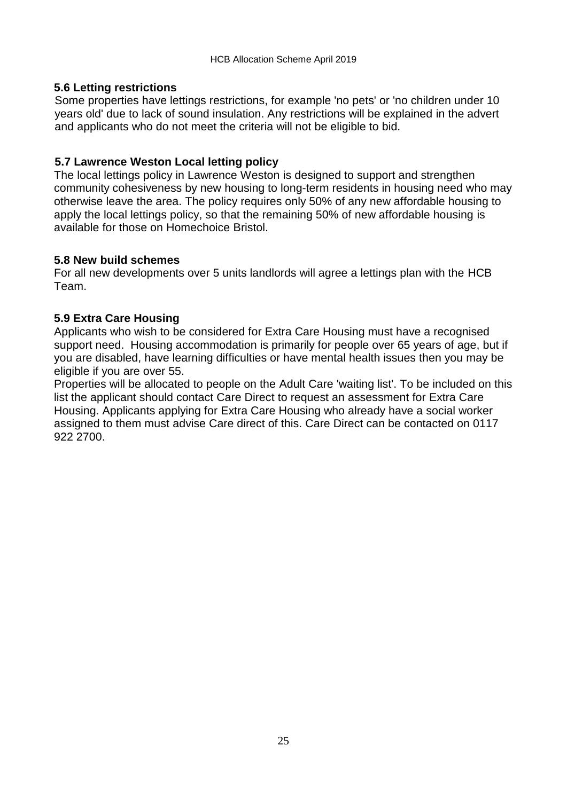#### **5.6 Letting restrictions**

Some properties have lettings restrictions, for example 'no pets' or 'no children under 10 years old' due to lack of sound insulation. Any restrictions will be explained in the advert and applicants who do not meet the criteria will not be eligible to bid.

#### **5.7 Lawrence Weston Local letting policy**

The local lettings policy in Lawrence Weston is designed to support and strengthen community cohesiveness by new housing to long-term residents in housing need who may otherwise leave the area. The policy requires only 50% of any new affordable housing to apply the local lettings policy, so that the remaining 50% of new affordable housing is available for those on Homechoice Bristol.

#### **5.8 New build schemes**

For all new developments over 5 units landlords will agree a lettings plan with the HCB Team.

#### **5.9 Extra Care Housing**

Applicants who wish to be considered for Extra Care Housing must have a recognised support need. Housing accommodation is primarily for people over 65 years of age, but if you are disabled, have learning difficulties or have mental health issues then you may be eligible if you are over 55.

Properties will be allocated to people on the Adult Care 'waiting list'. To be included on this list the applicant should contact Care Direct to request an assessment for Extra Care Housing. Applicants applying for Extra Care Housing who already have a social worker assigned to them must advise Care direct of this. Care Direct can be contacted on 0117 922 2700.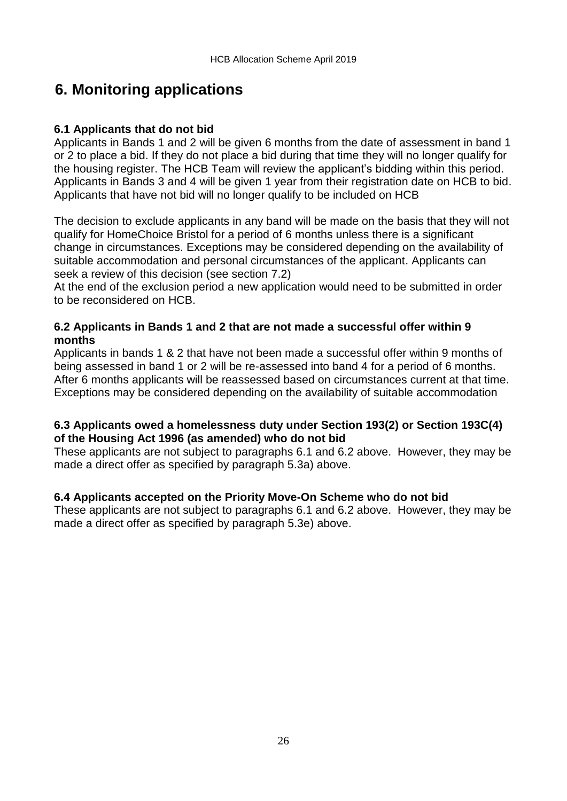# **6. Monitoring applications**

### **6.1 Applicants that do not bid**

Applicants in Bands 1 and 2 will be given 6 months from the date of assessment in band 1 or 2 to place a bid. If they do not place a bid during that time they will no longer qualify for the housing register. The HCB Team will review the applicant's bidding within this period. Applicants in Bands 3 and 4 will be given 1 year from their registration date on HCB to bid. Applicants that have not bid will no longer qualify to be included on HCB

The decision to exclude applicants in any band will be made on the basis that they will not qualify for HomeChoice Bristol for a period of 6 months unless there is a significant change in circumstances. Exceptions may be considered depending on the availability of suitable accommodation and personal circumstances of the applicant. Applicants can seek a review of this decision (see section 7.2)

At the end of the exclusion period a new application would need to be submitted in order to be reconsidered on HCB.

#### **6.2 Applicants in Bands 1 and 2 that are not made a successful offer within 9 months**

Applicants in bands 1 & 2 that have not been made a successful offer within 9 months of being assessed in band 1 or 2 will be re-assessed into band 4 for a period of 6 months. After 6 months applicants will be reassessed based on circumstances current at that time. Exceptions may be considered depending on the availability of suitable accommodation

#### **6.3 Applicants owed a homelessness duty under Section 193(2) or Section 193C(4) of the Housing Act 1996 (as amended) who do not bid**

These applicants are not subject to paragraphs 6.1 and 6.2 above. However, they may be made a direct offer as specified by paragraph 5.3a) above.

### **6.4 Applicants accepted on the Priority Move-On Scheme who do not bid**

These applicants are not subject to paragraphs 6.1 and 6.2 above. However, they may be made a direct offer as specified by paragraph 5.3e) above.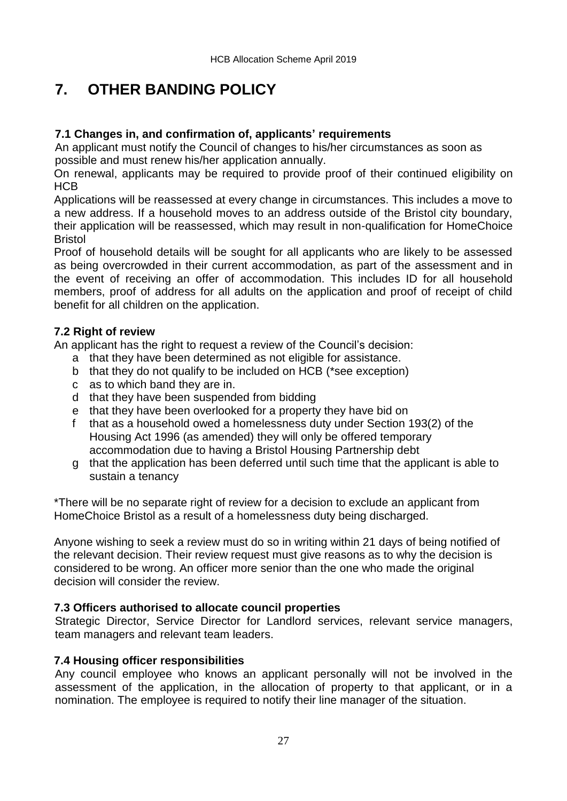# **7. OTHER BANDING POLICY**

#### **7.1 Changes in, and confirmation of, applicants' requirements**

An applicant must notify the Council of changes to his/her circumstances as soon as possible and must renew his/her application annually.

On renewal, applicants may be required to provide proof of their continued eligibility on **HCB** 

Applications will be reassessed at every change in circumstances. This includes a move to a new address. If a household moves to an address outside of the Bristol city boundary, their application will be reassessed, which may result in non-qualification for HomeChoice Bristol

Proof of household details will be sought for all applicants who are likely to be assessed as being overcrowded in their current accommodation, as part of the assessment and in the event of receiving an offer of accommodation. This includes ID for all household members, proof of address for all adults on the application and proof of receipt of child benefit for all children on the application.

#### **7.2 Right of review**

An applicant has the right to request a review of the Council's decision:

- a that they have been determined as not eligible for assistance.
- b that they do not qualify to be included on HCB (\*see exception)
- c as to which band they are in.
- d that they have been suspended from bidding
- e that they have been overlooked for a property they have bid on
- f that as a household owed a homelessness duty under Section 193(2) of the Housing Act 1996 (as amended) they will only be offered temporary accommodation due to having a Bristol Housing Partnership debt
- g that the application has been deferred until such time that the applicant is able to sustain a tenancy

\*There will be no separate right of review for a decision to exclude an applicant from HomeChoice Bristol as a result of a homelessness duty being discharged.

Anyone wishing to seek a review must do so in writing within 21 days of being notified of the relevant decision. Their review request must give reasons as to why the decision is considered to be wrong. An officer more senior than the one who made the original decision will consider the review.

#### **7.3 Officers authorised to allocate council properties**

Strategic Director, Service Director for Landlord services, relevant service managers, team managers and relevant team leaders.

#### **7.4 Housing officer responsibilities**

Any council employee who knows an applicant personally will not be involved in the assessment of the application, in the allocation of property to that applicant, or in a nomination. The employee is required to notify their line manager of the situation.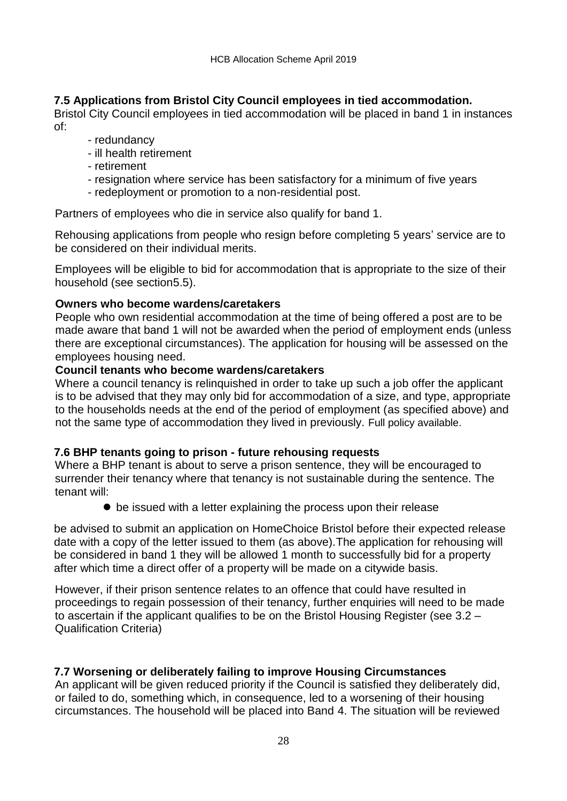#### **7.5 Applications from Bristol City Council employees in tied accommodation.**

Bristol City Council employees in tied accommodation will be placed in band 1 in instances of:

- redundancy
- ill health retirement
- retirement
- resignation where service has been satisfactory for a minimum of five years
- redeployment or promotion to a non-residential post.

Partners of employees who die in service also qualify for band 1.

Rehousing applications from people who resign before completing 5 years' service are to be considered on their individual merits.

Employees will be eligible to bid for accommodation that is appropriate to the size of their household (see section5.5).

#### **Owners who become wardens/caretakers**

People who own residential accommodation at the time of being offered a post are to be made aware that band 1 will not be awarded when the period of employment ends (unless there are exceptional circumstances). The application for housing will be assessed on the employees housing need.

#### **Council tenants who become wardens/caretakers**

Where a council tenancy is relinquished in order to take up such a job offer the applicant is to be advised that they may only bid for accommodation of a size, and type, appropriate to the households needs at the end of the period of employment (as specified above) and not the same type of accommodation they lived in previously. Full policy available.

#### **7.6 BHP tenants going to prison - future rehousing requests**

Where a BHP tenant is about to serve a prison sentence, they will be encouraged to surrender their tenancy where that tenancy is not sustainable during the sentence. The tenant will:

 $\bullet$  be issued with a letter explaining the process upon their release

be advised to submit an application on HomeChoice Bristol before their expected release date with a copy of the letter issued to them (as above).The application for rehousing will be considered in band 1 they will be allowed 1 month to successfully bid for a property after which time a direct offer of a property will be made on a citywide basis.

However, if their prison sentence relates to an offence that could have resulted in proceedings to regain possession of their tenancy, further enquiries will need to be made to ascertain if the applicant qualifies to be on the Bristol Housing Register (see 3.2 – Qualification Criteria)

#### **7.7 Worsening or deliberately failing to improve Housing Circumstances**

An applicant will be given reduced priority if the Council is satisfied they deliberately did, or failed to do, something which, in consequence, led to a worsening of their housing circumstances. The household will be placed into Band 4. The situation will be reviewed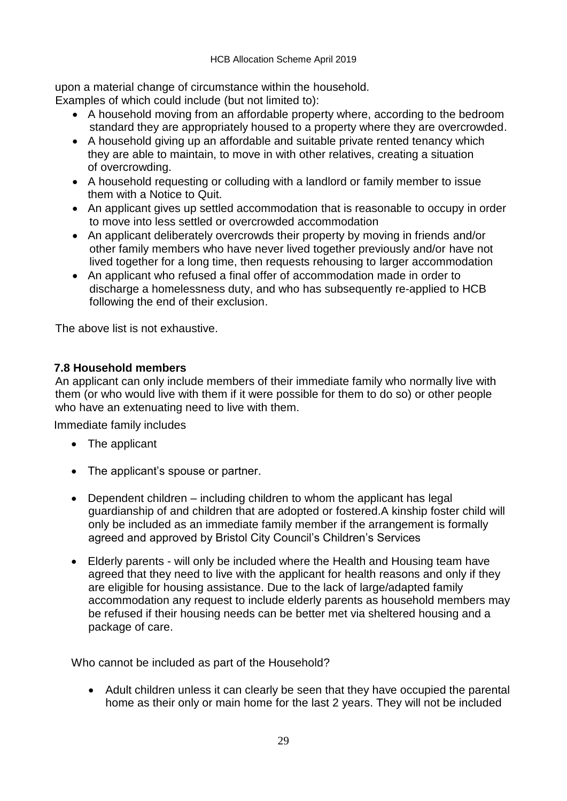upon a material change of circumstance within the household. Examples of which could include (but not limited to):

- A household moving from an affordable property where, according to the bedroom standard they are appropriately housed to a property where they are overcrowded.
- A household giving up an affordable and suitable private rented tenancy which they are able to maintain, to move in with other relatives, creating a situation of overcrowding.
- A household requesting or colluding with a landlord or family member to issue them with a Notice to Quit.
- An applicant gives up settled accommodation that is reasonable to occupy in order to move into less settled or overcrowded accommodation
- An applicant deliberately overcrowds their property by moving in friends and/or other family members who have never lived together previously and/or have not lived together for a long time, then requests rehousing to larger accommodation
- An applicant who refused a final offer of accommodation made in order to discharge a homelessness duty, and who has subsequently re-applied to HCB following the end of their exclusion.

The above list is not exhaustive.

#### **7.8 Household members**

An applicant can only include members of their immediate family who normally live with them (or who would live with them if it were possible for them to do so) or other people who have an extenuating need to live with them.

Immediate family includes

- The applicant
- The applicant's spouse or partner.
- Dependent children including children to whom the applicant has legal guardianship of and children that are adopted or fostered.A kinship foster child will only be included as an immediate family member if the arrangement is formally agreed and approved by Bristol City Council's Children's Services
- Elderly parents will only be included where the Health and Housing team have agreed that they need to live with the applicant for health reasons and only if they are eligible for housing assistance. Due to the lack of large/adapted family accommodation any request to include elderly parents as household members may be refused if their housing needs can be better met via sheltered housing and a package of care.

Who cannot be included as part of the Household?

 Adult children unless it can clearly be seen that they have occupied the parental home as their only or main home for the last 2 years. They will not be included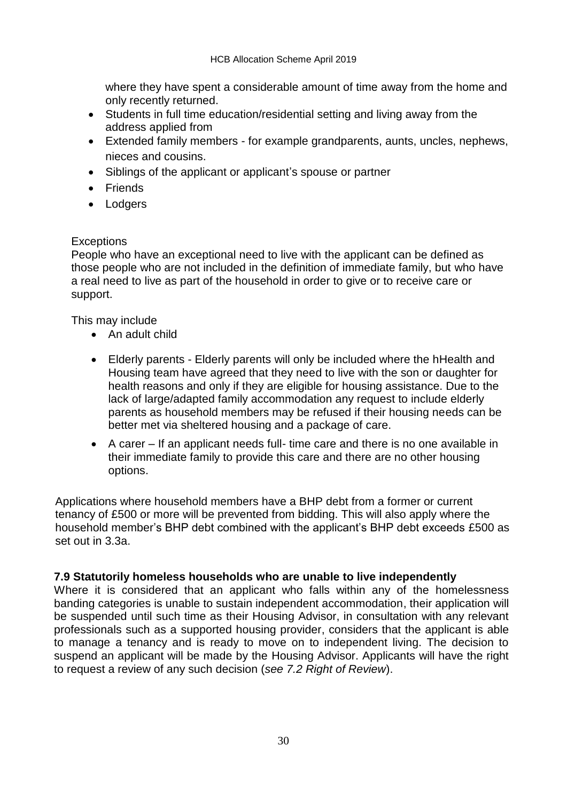where they have spent a considerable amount of time away from the home and only recently returned.

- Students in full time education/residential setting and living away from the address applied from
- Extended family members for example grandparents, aunts, uncles, nephews, nieces and cousins.
- Siblings of the applicant or applicant's spouse or partner
- Friends
- Lodgers

#### **Exceptions**

People who have an exceptional need to live with the applicant can be defined as those people who are not included in the definition of immediate family, but who have a real need to live as part of the household in order to give or to receive care or support.

This may include

- An adult child
- Elderly parents Elderly parents will only be included where the hHealth and Housing team have agreed that they need to live with the son or daughter for health reasons and only if they are eligible for housing assistance. Due to the lack of large/adapted family accommodation any request to include elderly parents as household members may be refused if their housing needs can be better met via sheltered housing and a package of care.
- A carer If an applicant needs full- time care and there is no one available in their immediate family to provide this care and there are no other housing options.

Applications where household members have a BHP debt from a former or current tenancy of £500 or more will be prevented from bidding. This will also apply where the household member's BHP debt combined with the applicant's BHP debt exceeds £500 as set out in 3.3a.

### **7.9 Statutorily homeless households who are unable to live independently**

Where it is considered that an applicant who falls within any of the homelessness banding categories is unable to sustain independent accommodation, their application will be suspended until such time as their Housing Advisor, in consultation with any relevant professionals such as a supported housing provider, considers that the applicant is able to manage a tenancy and is ready to move on to independent living. The decision to suspend an applicant will be made by the Housing Advisor. Applicants will have the right to request a review of any such decision (*see 7.2 Right of Review*).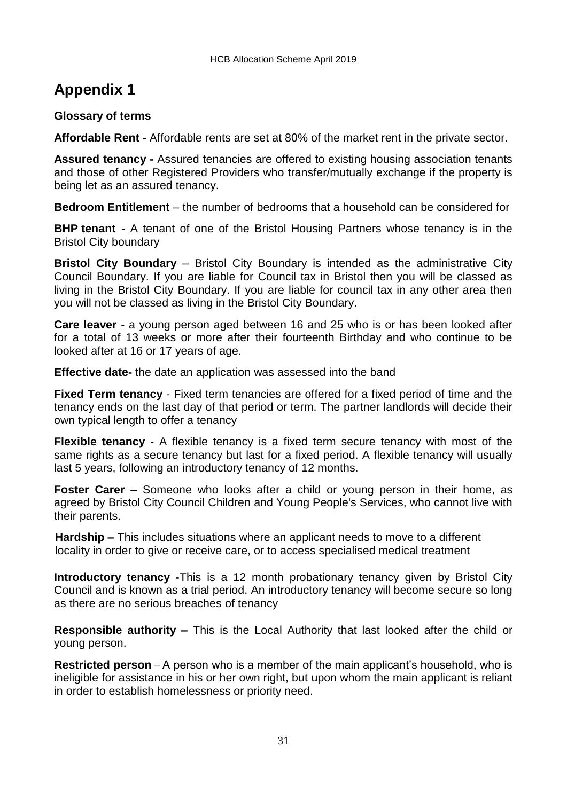# **Appendix 1**

#### **Glossary of terms**

**Affordable Rent -** Affordable rents are set at 80% of the market rent in the private sector.

**Assured tenancy -** Assured tenancies are offered to existing housing association tenants and those of other Registered Providers who transfer/mutually exchange if the property is being let as an assured tenancy.

**Bedroom Entitlement** – the number of bedrooms that a household can be considered for

**BHP tenant** - A tenant of one of the Bristol Housing Partners whose tenancy is in the Bristol City boundary

**Bristol City Boundary** – Bristol City Boundary is intended as the administrative City Council Boundary. If you are liable for Council tax in Bristol then you will be classed as living in the Bristol City Boundary. If you are liable for council tax in any other area then you will not be classed as living in the Bristol City Boundary.

**Care leaver** - a young person aged between 16 and 25 who is or has been looked after for a total of 13 weeks or more after their fourteenth Birthday and who continue to be looked after at 16 or 17 years of age.

**Effective date-** the date an application was assessed into the band

**Fixed Term tenancy** - Fixed term tenancies are offered for a fixed period of time and the tenancy ends on the last day of that period or term. The partner landlords will decide their own typical length to offer a tenancy

**Flexible tenancy** - A flexible tenancy is a fixed term secure tenancy with most of the same rights as a secure tenancy but last for a fixed period. A flexible tenancy will usually last 5 years, following an introductory tenancy of 12 months.

**Foster Carer** – Someone who looks after a child or young person in their home, as agreed by Bristol City Council Children and Young People's Services, who cannot live with their parents.

**Hardship –** This includes situations where an applicant needs to move to a different locality in order to give or receive care, or to access specialised medical treatment

**Introductory tenancy** -This is a 12 month probationary tenancy given by Bristol City Council and is known as a trial period. An introductory tenancy will become secure so long as there are no serious breaches of tenancy

**Responsible authority –** This is the Local Authority that last looked after the child or young person.

**Restricted person** – A person who is a member of the main applicant's household, who is ineligible for assistance in his or her own right, but upon whom the main applicant is reliant in order to establish homelessness or priority need.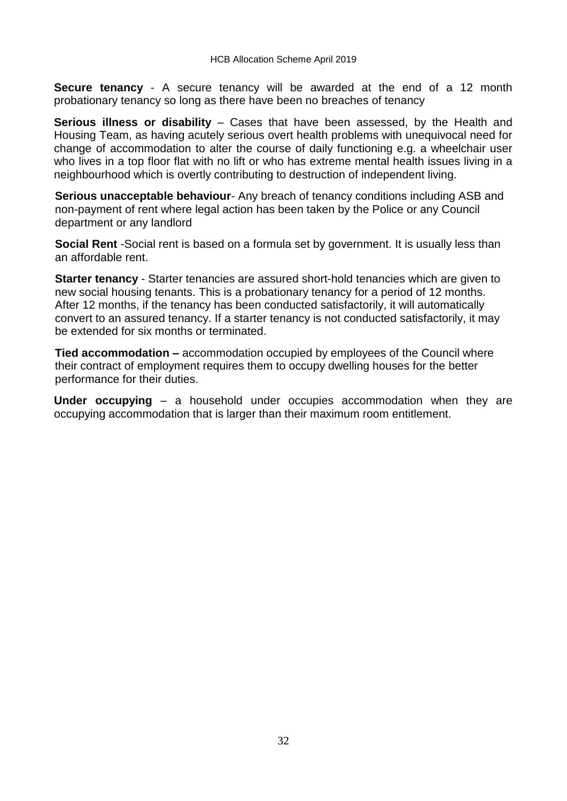**Secure tenancy** - A secure tenancy will be awarded at the end of a 12 month probationary tenancy so long as there have been no breaches of tenancy

**Serious illness or disability** – Cases that have been assessed, by the Health and Housing Team, as having acutely serious overt health problems with unequivocal need for change of accommodation to alter the course of daily functioning e.g. a wheelchair user who lives in a top floor flat with no lift or who has extreme mental health issues living in a neighbourhood which is overtly contributing to destruction of independent living.

**Serious unacceptable behaviour**- Any breach of tenancy conditions including ASB and non-payment of rent where legal action has been taken by the Police or any Council department or any landlord

**Social Rent** -Social rent is based on a formula set by government. It is usually less than an affordable rent.

**Starter tenancy** - Starter tenancies are assured short-hold tenancies which are given to new social housing tenants. This is a probationary tenancy for a period of 12 months. After 12 months, if the tenancy has been conducted satisfactorily, it will automatically convert to an assured tenancy. If a starter tenancy is not conducted satisfactorily, it may be extended for six months or terminated.

**Tied accommodation –** accommodation occupied by employees of the Council where their contract of employment requires them to occupy dwelling houses for the better performance for their duties.

**Under occupying** – a household under occupies accommodation when they are occupying accommodation that is larger than their maximum room entitlement.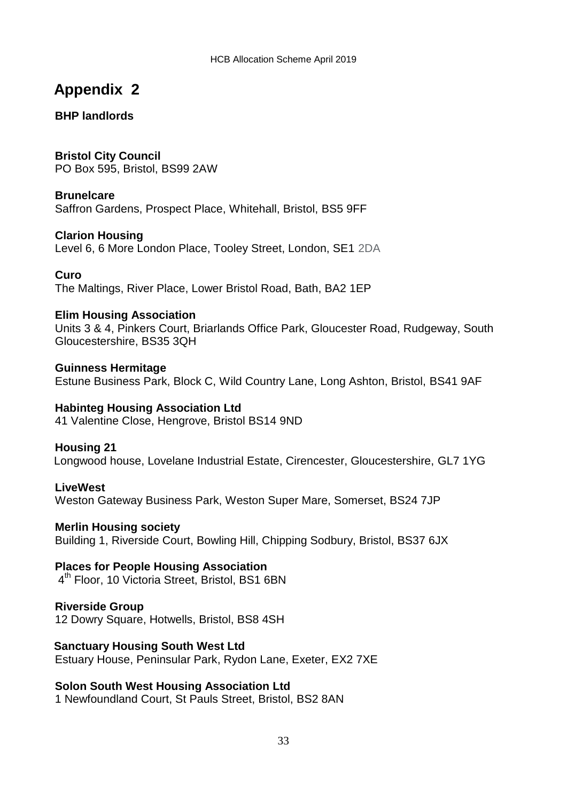# **Appendix 2**

### **BHP landlords**

**Bristol City Council** PO Box 595, Bristol, BS99 2AW

#### **Brunelcare**

Saffron Gardens, Prospect Place, Whitehall, Bristol, BS5 9FF

#### **Clarion Housing**

Level 6, 6 More London Place, Tooley Street, London, SE1 2DA

#### **Curo**

The Maltings, River Place, Lower Bristol Road, Bath, BA2 1EP

#### **Elim Housing Association**

Units 3 & 4, Pinkers Court, Briarlands Office Park, Gloucester Road, Rudgeway, South Gloucestershire, BS35 3QH

**Guinness Hermitage** Estune Business Park, Block C, Wild Country Lane, Long Ashton, Bristol, BS41 9AF

#### **Habinteg Housing Association Ltd**

41 Valentine Close, Hengrove, Bristol BS14 9ND

#### **Housing 21**

Longwood house, Lovelane Industrial Estate, Cirencester, Gloucestershire, GL7 1YG

#### **LiveWest**

Weston Gateway Business Park, Weston Super Mare, Somerset, BS24 7JP

#### **Merlin Housing society**

Building 1, Riverside Court, Bowling Hill, Chipping Sodbury, Bristol, BS37 6JX

#### **Places for People Housing Association**

4 th Floor, 10 Victoria Street, Bristol, BS1 6BN

#### **Riverside Group**

12 Dowry Square, Hotwells, Bristol, BS8 4SH

#### **Sanctuary Housing South West Ltd**

Estuary House, Peninsular Park, Rydon Lane, Exeter, EX2 7XE

#### **Solon South West Housing Association Ltd**

1 Newfoundland Court, St Pauls Street, Bristol, BS2 8AN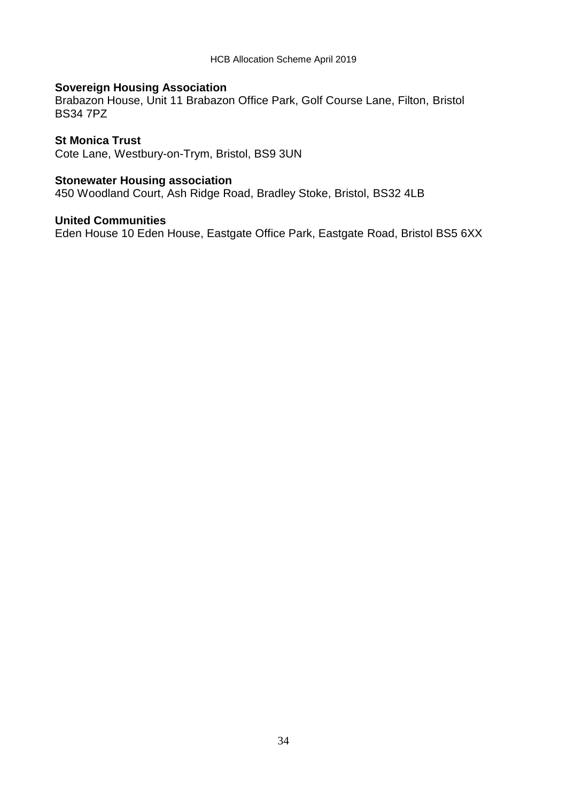### **Sovereign Housing Association**

Brabazon House, Unit 11 Brabazon Office Park, Golf Course Lane, Filton, Bristol BS34 7PZ

#### **St Monica Trust**

Cote Lane, Westbury-on-Trym, Bristol, BS9 3UN

#### **Stonewater Housing association**

450 Woodland Court, Ash Ridge Road, Bradley Stoke, Bristol, BS32 4LB

#### **United Communities**

Eden House 10 Eden House, Eastgate Office Park, Eastgate Road, Bristol BS5 6XX